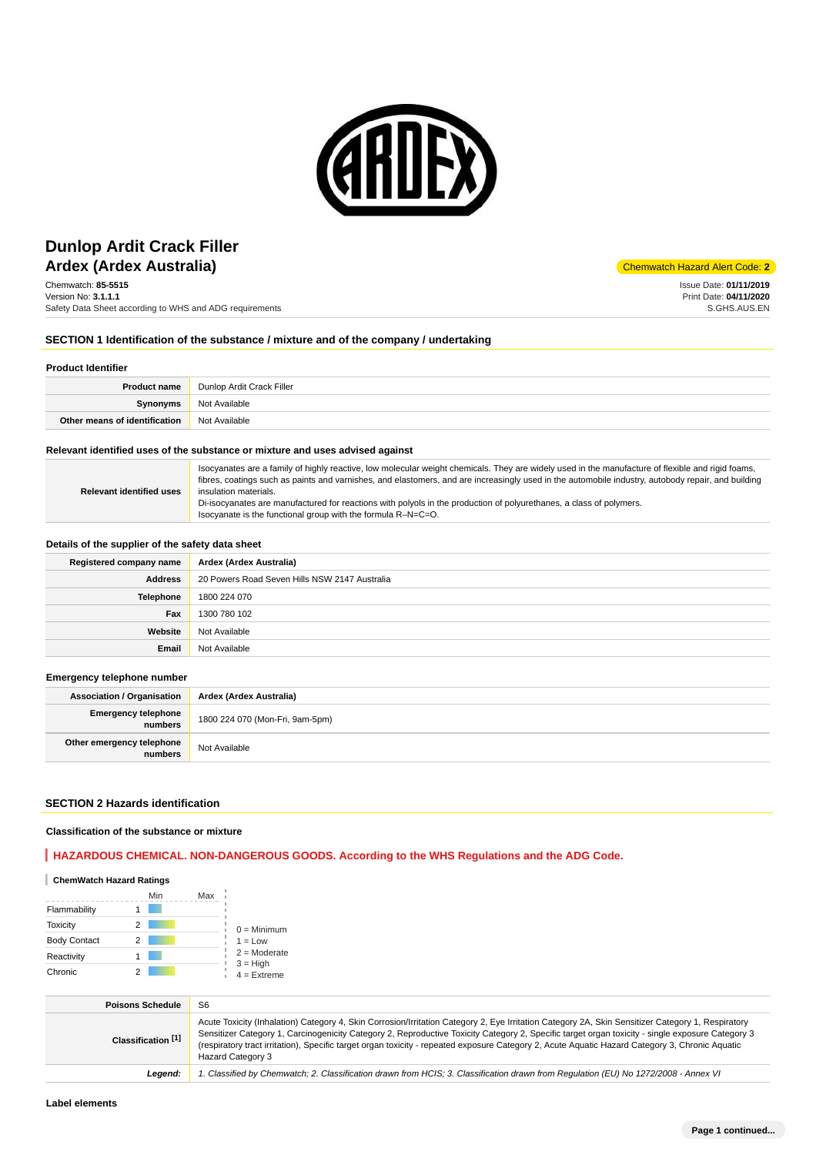

# **Ardex (Ardex Australia)** and the contract of the contract of the code: **2** and the code: **2** and the code: **2** and the code: **2** and the code: **2** and the code: **2** and the code: **2** and the code: **2** and the code: **2** an **Dunlop Ardit Crack Filler**

Chemwatch: **85-5515** Version No: **3.1.1.1** Safety Data Sheet according to WHS and ADG requirements

Issue Date: **01/11/2019** Print Date: **04/11/2020** S.GHS.AUS.EN

### **SECTION 1 Identification of the substance / mixture and of the company / undertaking**

#### **Product Identifier**

| <b>Product name</b>           | Dunlop Ardit Crack Filler |  |
|-------------------------------|---------------------------|--|
| Synonyms                      | Not Available             |  |
| Other means of identification | Not Available             |  |

#### **Relevant identified uses of the substance or mixture and uses advised against**

| <b>Relevant identified uses</b> | Isocyanates are a family of highly reactive, low molecular weight chemicals. They are widely used in the manufacture of flexible and rigid foams,<br>fibres, coatings such as paints and varnishes, and elastomers, and are increasingly used in the automobile industry, autobody repair, and building<br>insulation materials. |
|---------------------------------|----------------------------------------------------------------------------------------------------------------------------------------------------------------------------------------------------------------------------------------------------------------------------------------------------------------------------------|
|                                 | Di-isocyanates are manufactured for reactions with polyols in the production of polyurethanes, a class of polymers.<br>Isocyanate is the functional group with the formula R-N=C=O.                                                                                                                                              |

#### **Details of the supplier of the safety data sheet**

| Registered company name | Ardex (Ardex Australia)                       |  |  |
|-------------------------|-----------------------------------------------|--|--|
| <b>Address</b>          | 20 Powers Road Seven Hills NSW 2147 Australia |  |  |
| <b>Telephone</b>        | 1800 224 070                                  |  |  |
| Fax                     | 1300 780 102                                  |  |  |
| Website                 | Not Available                                 |  |  |
| Email                   | Not Available                                 |  |  |

#### **Emergency telephone number**

| <b>Association / Organisation</b>     | Ardex (Ardex Australia)         |  |
|---------------------------------------|---------------------------------|--|
| <b>Emergency telephone</b><br>numbers | 1800 224 070 (Mon-Fri, 9am-5pm) |  |
| Other emergency telephone<br>numbers  | Not Available                   |  |

### **SECTION 2 Hazards identification**

#### **Classification of the substance or mixture**

### **HAZARDOUS CHEMICAL. NON-DANGEROUS GOODS. According to the WHS Regulations and the ADG Code.**

| <b>ChemWatch Hazard Ratings</b> |     |     |                             |
|---------------------------------|-----|-----|-----------------------------|
|                                 | Min | Max |                             |
| Flammability                    |     |     |                             |
| <b>Toxicity</b>                 | 2   |     | $0 =$ Minimum               |
| <b>Body Contact</b>             | 2   |     | $1 = Low$                   |
| Reactivity                      |     |     | $2 =$ Moderate              |
| Chronic                         |     |     | $3 = High$<br>$4 =$ Extreme |

| <b>Poisons Schedule</b>       | S <sub>6</sub>                                                                                                                                                                                                                                                                                                                                                                                                                                                                |  |  |
|-------------------------------|-------------------------------------------------------------------------------------------------------------------------------------------------------------------------------------------------------------------------------------------------------------------------------------------------------------------------------------------------------------------------------------------------------------------------------------------------------------------------------|--|--|
| Classification <sup>[1]</sup> | Acute Toxicity (Inhalation) Category 4, Skin Corrosion/Irritation Category 2, Eye Irritation Category 2A, Skin Sensitizer Category 1, Respiratory<br>Sensitizer Category 1, Carcinogenicity Category 2, Reproductive Toxicity Category 2, Specific target organ toxicity - single exposure Category 3<br>(respiratory tract irritation), Specific target organ toxicity - repeated exposure Category 2, Acute Aquatic Hazard Category 3, Chronic Aquatic<br>Hazard Category 3 |  |  |
| Legend:                       | 1. Classified by Chemwatch; 2. Classification drawn from HCIS; 3. Classification drawn from Requlation (EU) No 1272/2008 - Annex VI                                                                                                                                                                                                                                                                                                                                           |  |  |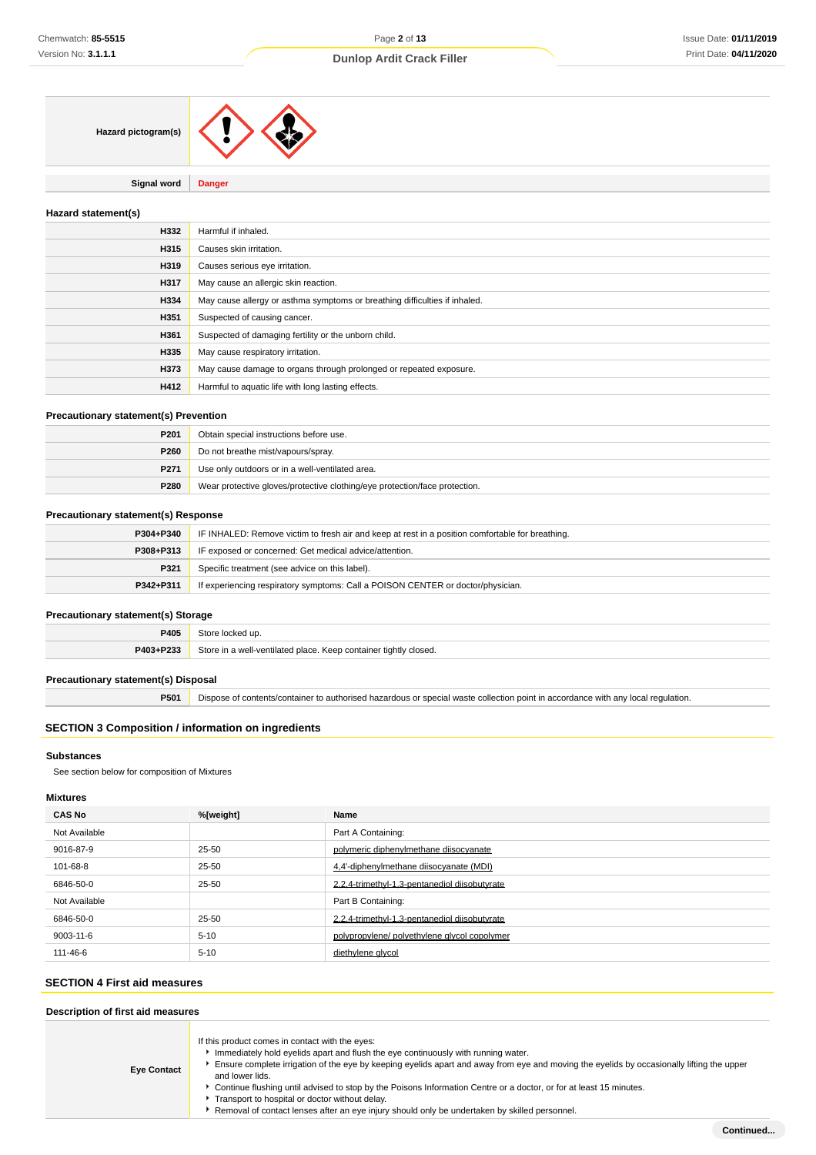**Signal word Danger**

#### **Hazard statement(s)**

| H332 | Harmful if inhaled.                                                        |  |
|------|----------------------------------------------------------------------------|--|
| H315 | Causes skin irritation.                                                    |  |
| H319 | Causes serious eye irritation.                                             |  |
| H317 | May cause an allergic skin reaction.                                       |  |
| H334 | May cause allergy or asthma symptoms or breathing difficulties if inhaled. |  |
| H351 | Suspected of causing cancer.                                               |  |
| H361 | Suspected of damaging fertility or the unborn child.                       |  |
| H335 | May cause respiratory irritation.                                          |  |
| H373 | May cause damage to organs through prolonged or repeated exposure.         |  |
| H412 | Harmful to aquatic life with long lasting effects.                         |  |

#### **Precautionary statement(s) Prevention**

| P201        | Obtain special instructions before use.                                    |  |
|-------------|----------------------------------------------------------------------------|--|
| <b>P260</b> | Do not breathe mist/vapours/spray.                                         |  |
| P271        | Use only outdoors or in a well-ventilated area.                            |  |
| P280        | Wear protective gloves/protective clothing/eye protection/face protection. |  |

#### **Precautionary statement(s) Response**

| P304+P340 | IF INHALED: Remove victim to fresh air and keep at rest in a position comfortable for breathing. |  |
|-----------|--------------------------------------------------------------------------------------------------|--|
| P308+P313 | IF exposed or concerned: Get medical advice/attention.                                           |  |
| P321      | Specific treatment (see advice on this label).                                                   |  |
| P342+P311 | If experiencing respiratory symptoms: Call a POISON CENTER or doctor/physician.                  |  |

#### **Precautionary statement(s) Storage**

| P405      | 240r<br>locked up.                                               |  |
|-----------|------------------------------------------------------------------|--|
| P403+P233 | Store in a well-ventilated place. Keep container tightly closed. |  |

#### **Precautionary statement(s) Disposal**

**P501** Dispose of contents/container to authorised hazardous or special waste collection point in accordance with any local regulation.

### **SECTION 3 Composition / information on ingredients**

#### **Substances**

See section below for composition of Mixtures

### **Mixtures**

| <b>CAS No</b> | %[weight] | Name                                          |
|---------------|-----------|-----------------------------------------------|
| Not Available |           | Part A Containing:                            |
| 9016-87-9     | 25-50     | polymeric diphenylmethane diisocyanate        |
| 101-68-8      | 25-50     | 4.4'-diphenylmethane diisocyanate (MDI)       |
| 6846-50-0     | 25-50     | 2.2.4-trimethyl-1.3-pentanediol diisobutyrate |
| Not Available |           | Part B Containing:                            |
| 6846-50-0     | 25-50     | 2,2,4-trimethyl-1,3-pentanediol diisobutyrate |
| 9003-11-6     | $5 - 10$  | polypropylene/ polyethylene glycol copolymer  |
| 111-46-6      | $5 - 10$  | diethylene glycol                             |

### **SECTION 4 First aid measures**

### **Description of first aid measures**

| <b>Eye Contact</b> | If this product comes in contact with the eyes:<br>Immediately hold eyelids apart and flush the eye continuously with running water.<br>Ensure complete irrigation of the eye by keeping eyelids apart and away from eye and moving the eyelids by occasionally lifting the upper<br>and lower lids.<br>Continue flushing until advised to stop by the Poisons Information Centre or a doctor, or for at least 15 minutes.<br>Transport to hospital or doctor without delay.<br>Removal of contact lenses after an eye injury should only be undertaken by skilled personnel. |
|--------------------|-------------------------------------------------------------------------------------------------------------------------------------------------------------------------------------------------------------------------------------------------------------------------------------------------------------------------------------------------------------------------------------------------------------------------------------------------------------------------------------------------------------------------------------------------------------------------------|
|--------------------|-------------------------------------------------------------------------------------------------------------------------------------------------------------------------------------------------------------------------------------------------------------------------------------------------------------------------------------------------------------------------------------------------------------------------------------------------------------------------------------------------------------------------------------------------------------------------------|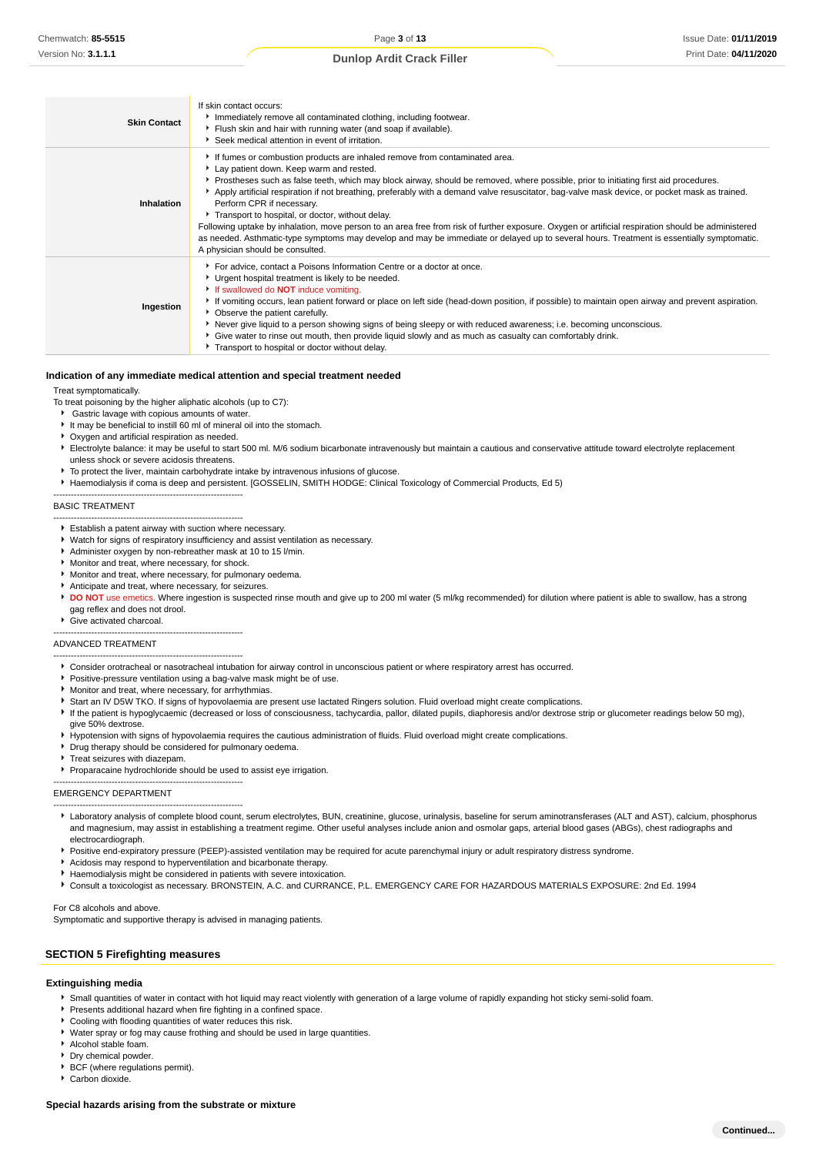| <b>Skin Contact</b> | If skin contact occurs:<br>Immediately remove all contaminated clothing, including footwear.<br>Fiush skin and hair with running water (and soap if available).<br>Seek medical attention in event of irritation.                                                                                                                                                                                                                                                                                                                                                                                                                                                                                                                                                                                                                        |
|---------------------|------------------------------------------------------------------------------------------------------------------------------------------------------------------------------------------------------------------------------------------------------------------------------------------------------------------------------------------------------------------------------------------------------------------------------------------------------------------------------------------------------------------------------------------------------------------------------------------------------------------------------------------------------------------------------------------------------------------------------------------------------------------------------------------------------------------------------------------|
| Inhalation          | If fumes or combustion products are inhaled remove from contaminated area.<br>Lay patient down. Keep warm and rested.<br>▶ Prostheses such as false teeth, which may block airway, should be removed, where possible, prior to initiating first aid procedures.<br>Apply artificial respiration if not breathing, preferably with a demand valve resuscitator, bag-valve mask device, or pocket mask as trained.<br>Perform CPR if necessary.<br>Transport to hospital, or doctor, without delay.<br>Following uptake by inhalation, move person to an area free from risk of further exposure. Oxygen or artificial respiration should be administered<br>as needed. Asthmatic-type symptoms may develop and may be immediate or delayed up to several hours. Treatment is essentially symptomatic.<br>A physician should be consulted. |
| Ingestion           | For advice, contact a Poisons Information Centre or a doctor at once.<br>Urgent hospital treatment is likely to be needed.<br>If swallowed do <b>NOT</b> induce vomiting.<br>If vomiting occurs, lean patient forward or place on left side (head-down position, if possible) to maintain open airway and prevent aspiration.<br>• Observe the patient carefully.<br>Never give liquid to a person showing signs of being sleepy or with reduced awareness; i.e. becoming unconscious.<br>Give water to rinse out mouth, then provide liquid slowly and as much as casualty can comfortably drink.<br>Transport to hospital or doctor without delay.                                                                                                                                                                                     |

#### **Indication of any immediate medical attention and special treatment needed**

Treat symptomatically.

To treat poisoning by the higher aliphatic alcohols (up to C7):

- Gastric lavage with copious amounts of water.
- It may be beneficial to instill 60 ml of mineral oil into the stomach.
- Oxygen and artificial respiration as needed.

-----------------------------------------------------------------

-----------------------------------------------------------------

- Electrolyte balance: it may be useful to start 500 ml. M/6 sodium bicarbonate intravenously but maintain a cautious and conservative attitude toward electrolyte replacement unless shock or severe acidosis threatens.
- To protect the liver, maintain carbohydrate intake by intravenous infusions of glucose.
- Haemodialysis if coma is deep and persistent. [GOSSELIN, SMITH HODGE: Clinical Toxicology of Commercial Products, Ed 5)

#### BASIC TREATMENT

- Establish a patent airway with suction where necessary.
- Watch for signs of respiratory insufficiency and assist ventilation as necessary.
- Administer oxygen by non-rebreather mask at 10 to 15 l/min.
- Monitor and treat, where necessary, for shock.
- Monitor and treat, where necessary, for pulmonary oedema.
- Anticipate and treat, where necessary, for seizures.
- **P** DO NOT use emetics. Where ingestion is suspected rinse mouth and give up to 200 ml water (5 ml/kg recommended) for dilution where patient is able to swallow, has a strong gag reflex and does not drool.
- Give activated charcoal.

#### ----------------------------------------------------------------- ADVANCED TREATMENT

- -----------------------------------------------------------------
- Consider orotracheal or nasotracheal intubation for airway control in unconscious patient or where respiratory arrest has occurred.
- Positive-pressure ventilation using a bag-valve mask might be of use.
- Monitor and treat, where necessary, for arrhythmias.
- Start an IV D5W TKO. If signs of hypovolaemia are present use lactated Ringers solution. Fluid overload might create complications.
- If the patient is hypoglycaemic (decreased or loss of consciousness, tachycardia, pallor, dilated pupils, diaphoresis and/or dextrose strip or glucometer readings below 50 mg), give 50% dextrose.
- Hypotension with signs of hypovolaemia requires the cautious administration of fluids. Fluid overload might create complications.
- Drug therapy should be considered for pulmonary oedema.

-----------------------------------------------------------------

-----------------------------------------------------------------

- Treat seizures with diazepam.
- Proparacaine hydrochloride should be used to assist eye irrigation.

#### EMERGENCY DEPARTMENT

- Laboratory analysis of complete blood count, serum electrolytes, BUN, creatinine, glucose, urinalysis, baseline for serum aminotransferases (ALT and AST), calcium, phosphorus and magnesium, may assist in establishing a treatment regime. Other useful analyses include anion and osmolar gaps, arterial blood gases (ABGs), chest radiographs and electrocardiograph.
- Positive end-expiratory pressure (PEEP)-assisted ventilation may be required for acute parenchymal injury or adult respiratory distress syndrome.
- Acidosis may respond to hyperventilation and bicarbonate therapy.
- Haemodialysis might be considered in patients with severe intoxication.
- Consult a toxicologist as necessary. BRONSTEIN, A.C. and CURRANCE, P.L. EMERGENCY CARE FOR HAZARDOUS MATERIALS EXPOSURE: 2nd Ed. 1994

For C8 alcohols and above.

Symptomatic and supportive therapy is advised in managing patients.

#### **SECTION 5 Firefighting measures**

#### **Extinguishing media**

- Small quantities of water in contact with hot liquid may react violently with generation of a large volume of rapidly expanding hot sticky semi-solid foam.
- **Presents additional hazard when fire fighting in a confined space.**
- Cooling with flooding quantities of water reduces this risk.
- Water spray or fog may cause frothing and should be used in large quantities.
- Alcohol stable foam.
- Dry chemical powder.
- BCF (where regulations permit).
- Carbon dioxide.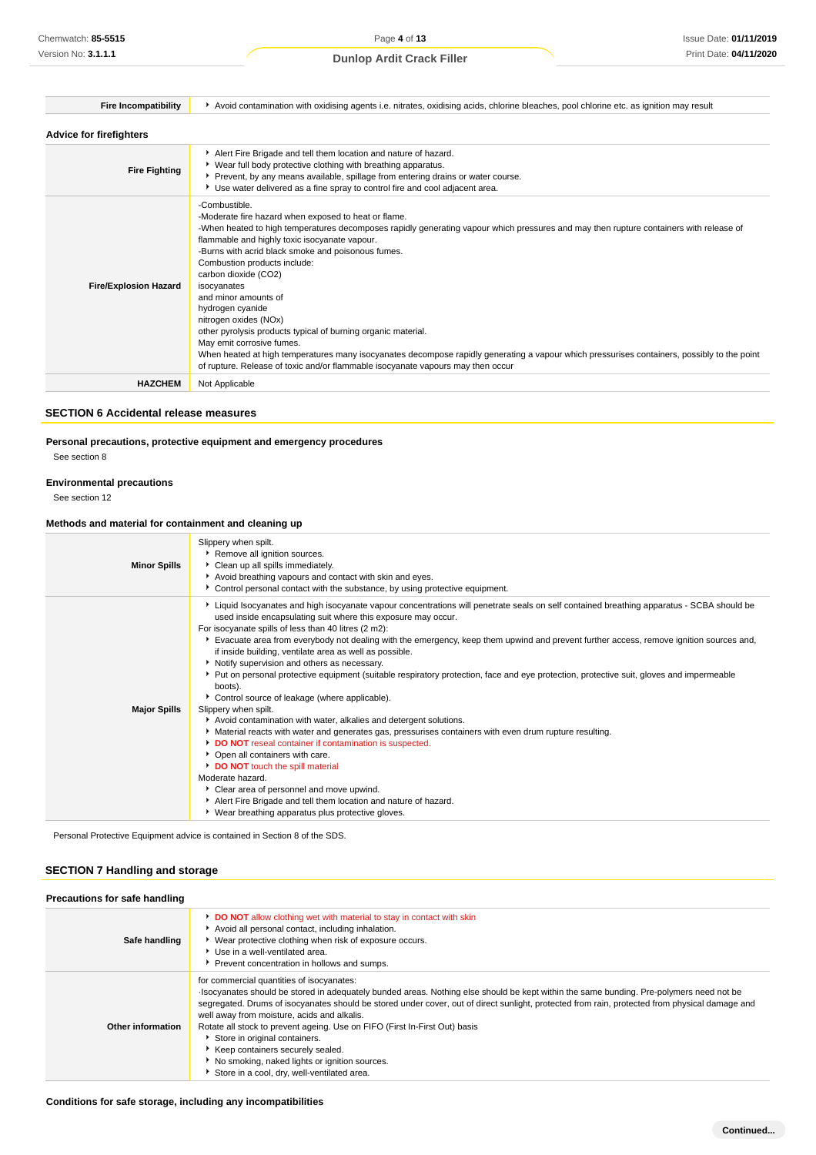| <b>Fire Incompatibility</b>    | Avoid contamination with oxidising agents i.e. nitrates, oxidising acids, chlorine bleaches, pool chlorine etc. as ignition may result                                                                                                                                                                                                                                                                                                                                                                                                                                                                                                                                                                                                                                                             |
|--------------------------------|----------------------------------------------------------------------------------------------------------------------------------------------------------------------------------------------------------------------------------------------------------------------------------------------------------------------------------------------------------------------------------------------------------------------------------------------------------------------------------------------------------------------------------------------------------------------------------------------------------------------------------------------------------------------------------------------------------------------------------------------------------------------------------------------------|
| <b>Advice for firefighters</b> |                                                                                                                                                                                                                                                                                                                                                                                                                                                                                                                                                                                                                                                                                                                                                                                                    |
| <b>Fire Fighting</b>           | Alert Fire Brigade and tell them location and nature of hazard.<br>▶ Wear full body protective clothing with breathing apparatus.<br>Prevent, by any means available, spillage from entering drains or water course.<br>Use water delivered as a fine spray to control fire and cool adjacent area.                                                                                                                                                                                                                                                                                                                                                                                                                                                                                                |
| <b>Fire/Explosion Hazard</b>   | -Combustible.<br>-Moderate fire hazard when exposed to heat or flame.<br>-When heated to high temperatures decomposes rapidly generating vapour which pressures and may then rupture containers with release of<br>flammable and highly toxic isocyanate vapour.<br>-Burns with acrid black smoke and poisonous fumes.<br>Combustion products include:<br>carbon dioxide (CO2)<br>isocyanates<br>and minor amounts of<br>hydrogen cyanide<br>nitrogen oxides (NOx)<br>other pyrolysis products typical of burning organic material.<br>May emit corrosive fumes.<br>When heated at high temperatures many isocyanates decompose rapidly generating a vapour which pressurises containers, possibly to the point<br>of rupture. Release of toxic and/or flammable isocyanate vapours may then occur |
| <b>HAZCHEM</b>                 | Not Applicable                                                                                                                                                                                                                                                                                                                                                                                                                                                                                                                                                                                                                                                                                                                                                                                     |
|                                |                                                                                                                                                                                                                                                                                                                                                                                                                                                                                                                                                                                                                                                                                                                                                                                                    |

### **SECTION 6 Accidental release measures**

### **Personal precautions, protective equipment and emergency procedures**

See section 8

#### **Environmental precautions**

See section 12

#### **Methods and material for containment and cleaning up**

| <b>Minor Spills</b> | Slippery when spilt.<br>Remove all ignition sources.<br>Clean up all spills immediately.<br>Avoid breathing vapours and contact with skin and eyes.<br>• Control personal contact with the substance, by using protective equipment.                                                                                                                                                                                                                                                                                                                                                                                                                                                                                                                                                                                                                                                                                                                                                                                                                                                                                                                                                                                                                                |
|---------------------|---------------------------------------------------------------------------------------------------------------------------------------------------------------------------------------------------------------------------------------------------------------------------------------------------------------------------------------------------------------------------------------------------------------------------------------------------------------------------------------------------------------------------------------------------------------------------------------------------------------------------------------------------------------------------------------------------------------------------------------------------------------------------------------------------------------------------------------------------------------------------------------------------------------------------------------------------------------------------------------------------------------------------------------------------------------------------------------------------------------------------------------------------------------------------------------------------------------------------------------------------------------------|
| <b>Major Spills</b> | ▶ Liquid Isocyanates and high isocyanate vapour concentrations will penetrate seals on self contained breathing apparatus - SCBA should be<br>used inside encapsulating suit where this exposure may occur.<br>For isocyanate spills of less than 40 litres (2 m2):<br>Evacuate area from everybody not dealing with the emergency, keep them upwind and prevent further access, remove ignition sources and,<br>if inside building, ventilate area as well as possible.<br>▶ Notify supervision and others as necessary.<br>• Put on personal protective equipment (suitable respiratory protection, face and eye protection, protective suit, gloves and impermeable<br>boots).<br>Control source of leakage (where applicable).<br>Slippery when spilt.<br>Avoid contamination with water, alkalies and detergent solutions.<br>Material reacts with water and generates gas, pressurises containers with even drum rupture resulting.<br>DO NOT reseal container if contamination is suspected.<br>• Open all containers with care.<br>DO NOT touch the spill material<br>Moderate hazard.<br>Clear area of personnel and move upwind.<br>Alert Fire Brigade and tell them location and nature of hazard.<br>▶ Wear breathing apparatus plus protective gloves. |

Personal Protective Equipment advice is contained in Section 8 of the SDS.

### **SECTION 7 Handling and storage**

| Precautions for safe handling |                                                                                                                                                                                                                                                                                                                                                                                                                                                                                                                                                                                                                                           |
|-------------------------------|-------------------------------------------------------------------------------------------------------------------------------------------------------------------------------------------------------------------------------------------------------------------------------------------------------------------------------------------------------------------------------------------------------------------------------------------------------------------------------------------------------------------------------------------------------------------------------------------------------------------------------------------|
| Safe handling                 | DO NOT allow clothing wet with material to stay in contact with skin<br>Avoid all personal contact, including inhalation.<br>▶ Wear protective clothing when risk of exposure occurs.<br>▶ Use in a well-ventilated area.<br>Prevent concentration in hollows and sumps.                                                                                                                                                                                                                                                                                                                                                                  |
| Other information             | for commercial quantities of isocyanates:<br>Isocyanates should be stored in adequately bunded areas. Nothing else should be kept within the same bunding. Pre-polymers need not be<br>segregated. Drums of isocyanates should be stored under cover, out of direct sunlight, protected from rain, protected from physical damage and<br>well away from moisture, acids and alkalis.<br>Rotate all stock to prevent ageing. Use on FIFO (First In-First Out) basis<br>Store in original containers.<br>Keep containers securely sealed.<br>▶ No smoking, naked lights or ignition sources.<br>Store in a cool, dry, well-ventilated area. |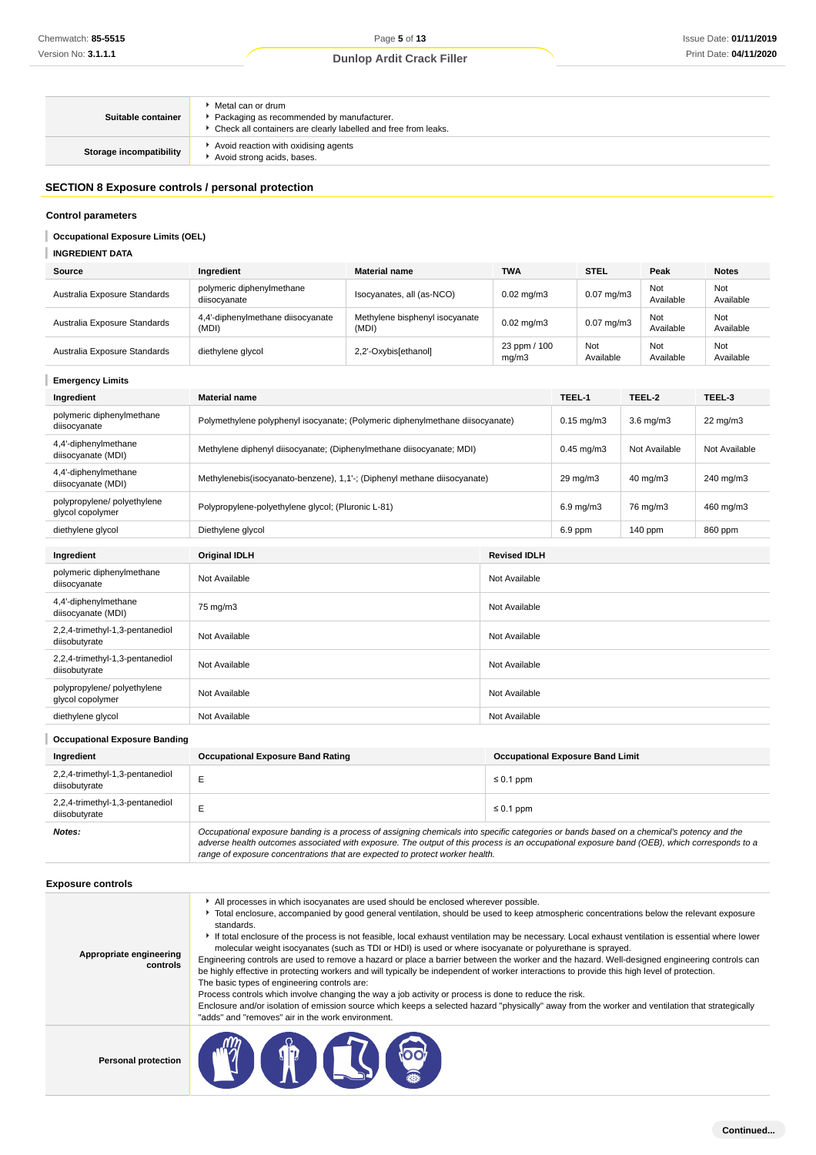| Suitable container      | ▶ Metal can or drum<br>Packaging as recommended by manufacturer.<br>• Check all containers are clearly labelled and free from leaks. |
|-------------------------|--------------------------------------------------------------------------------------------------------------------------------------|
| Storage incompatibility | Avoid reaction with oxidising agents<br>Avoid strong acids, bases.                                                                   |

### **SECTION 8 Exposure controls / personal protection**

### **Control parameters**

### **INGREDIENT DATA**

| Source                       | Ingredient                                 | <b>Material name</b>                    | <b>TWA</b>            | <b>STEL</b>           | Peak             | <b>Notes</b>     |
|------------------------------|--------------------------------------------|-----------------------------------------|-----------------------|-----------------------|------------------|------------------|
| Australia Exposure Standards | polymeric diphenylmethane<br>diisocvanate  | Isocyanates, all (as-NCO)               | $0.02 \text{ mg/m}$ 3 | $0.07 \text{ mg/m}$ 3 | Not<br>Available | Not<br>Available |
| Australia Exposure Standards | 4,4'-diphenylmethane diisocyanate<br>(MDI) | Methylene bisphenyl isocyanate<br>(MDI) | $0.02 \text{ mg/m}$ 3 | $0.07 \text{ mg/m}$ 3 | Not<br>Available | Not<br>Available |
| Australia Exposure Standards | diethylene glycol                          | 2,2'-Oxybis[ethanol]                    | 23 ppm / 100<br>mg/m3 | Not<br>Available      | Not<br>Available | Not<br>Available |

| Chemwatch: 85-5515                                |                                                                                                                                                                                                                                                                                                                                                                                                                                                                                                                                                                                                                                                                               | Page 5 of 13                                                                                                                                                                                                                                                                                                                                                                                                                                                                                     |                       |                                         |                    | Issue Date: 01/11/201 |  |
|---------------------------------------------------|-------------------------------------------------------------------------------------------------------------------------------------------------------------------------------------------------------------------------------------------------------------------------------------------------------------------------------------------------------------------------------------------------------------------------------------------------------------------------------------------------------------------------------------------------------------------------------------------------------------------------------------------------------------------------------|--------------------------------------------------------------------------------------------------------------------------------------------------------------------------------------------------------------------------------------------------------------------------------------------------------------------------------------------------------------------------------------------------------------------------------------------------------------------------------------------------|-----------------------|-----------------------------------------|--------------------|-----------------------|--|
| Version No: 3.1.1.1                               |                                                                                                                                                                                                                                                                                                                                                                                                                                                                                                                                                                                                                                                                               | <b>Dunlop Ardit Crack Filler</b>                                                                                                                                                                                                                                                                                                                                                                                                                                                                 |                       |                                         |                    | Print Date: 04/11/202 |  |
| Suitable container                                | Metal can or drum<br>Packaging as recommended by manufacturer.<br>• Check all containers are clearly labelled and free from leaks.                                                                                                                                                                                                                                                                                                                                                                                                                                                                                                                                            |                                                                                                                                                                                                                                                                                                                                                                                                                                                                                                  |                       |                                         |                    |                       |  |
| <b>Storage incompatibility</b>                    | Avoid reaction with oxidising agents<br>Avoid strong acids, bases.                                                                                                                                                                                                                                                                                                                                                                                                                                                                                                                                                                                                            |                                                                                                                                                                                                                                                                                                                                                                                                                                                                                                  |                       |                                         |                    |                       |  |
| SECTION 8 Exposure controls / personal protection |                                                                                                                                                                                                                                                                                                                                                                                                                                                                                                                                                                                                                                                                               |                                                                                                                                                                                                                                                                                                                                                                                                                                                                                                  |                       |                                         |                    |                       |  |
| <b>Control parameters</b>                         |                                                                                                                                                                                                                                                                                                                                                                                                                                                                                                                                                                                                                                                                               |                                                                                                                                                                                                                                                                                                                                                                                                                                                                                                  |                       |                                         |                    |                       |  |
| <b>Occupational Exposure Limits (OEL)</b>         |                                                                                                                                                                                                                                                                                                                                                                                                                                                                                                                                                                                                                                                                               |                                                                                                                                                                                                                                                                                                                                                                                                                                                                                                  |                       |                                         |                    |                       |  |
| <b>INGREDIENT DATA</b>                            |                                                                                                                                                                                                                                                                                                                                                                                                                                                                                                                                                                                                                                                                               |                                                                                                                                                                                                                                                                                                                                                                                                                                                                                                  |                       |                                         |                    |                       |  |
| <b>Source</b>                                     | Ingredient                                                                                                                                                                                                                                                                                                                                                                                                                                                                                                                                                                                                                                                                    | <b>Material name</b>                                                                                                                                                                                                                                                                                                                                                                                                                                                                             | <b>TWA</b>            | <b>STEL</b>                             | Peak               | <b>Notes</b>          |  |
| Australia Exposure Standards                      | polymeric diphenylmethane<br>diisocyanate                                                                                                                                                                                                                                                                                                                                                                                                                                                                                                                                                                                                                                     | Isocyanates, all (as-NCO)                                                                                                                                                                                                                                                                                                                                                                                                                                                                        | $0.02$ mg/m $3$       | $0.07$ mg/m $3$                         | Not<br>Available   | Not<br>Available      |  |
| Australia Exposure Standards                      | 4,4'-diphenylmethane diisocyanate<br>(MDI)                                                                                                                                                                                                                                                                                                                                                                                                                                                                                                                                                                                                                                    | Methylene bisphenyl isocyanate<br>(MDI)                                                                                                                                                                                                                                                                                                                                                                                                                                                          | $0.02$ mg/m $3$       | $0.07$ mg/m $3$                         | Not<br>Available   | Not<br>Available      |  |
| Australia Exposure Standards                      | diethylene glycol                                                                                                                                                                                                                                                                                                                                                                                                                                                                                                                                                                                                                                                             | 2,2'-Oxybis[ethanol]                                                                                                                                                                                                                                                                                                                                                                                                                                                                             | 23 ppm / 100<br>mg/m3 | Not<br>Available                        | Not<br>Available   | Not<br>Available      |  |
| <b>Emergency Limits</b>                           |                                                                                                                                                                                                                                                                                                                                                                                                                                                                                                                                                                                                                                                                               |                                                                                                                                                                                                                                                                                                                                                                                                                                                                                                  |                       |                                         |                    |                       |  |
| Ingredient                                        | <b>Material name</b>                                                                                                                                                                                                                                                                                                                                                                                                                                                                                                                                                                                                                                                          |                                                                                                                                                                                                                                                                                                                                                                                                                                                                                                  |                       | TEEL-1                                  | TEEL-2             | TEEL-3                |  |
| polymeric diphenylmethane<br>diisocyanate         | Polymethylene polyphenyl isocyanate; (Polymeric diphenylmethane diisocyanate)                                                                                                                                                                                                                                                                                                                                                                                                                                                                                                                                                                                                 |                                                                                                                                                                                                                                                                                                                                                                                                                                                                                                  |                       | $0.15 \text{ mg/m}$ 3                   | $3.6 \text{ mg/m}$ | 22 mg/m3              |  |
| 4,4'-diphenylmethane<br>diisocyanate (MDI)        | Methylene diphenyl diisocyanate; (Diphenylmethane diisocyanate; MDI)                                                                                                                                                                                                                                                                                                                                                                                                                                                                                                                                                                                                          |                                                                                                                                                                                                                                                                                                                                                                                                                                                                                                  |                       | $0.45$ mg/m $3$                         | Not Available      | Not Available         |  |
| 4,4'-diphenylmethane<br>diisocyanate (MDI)        |                                                                                                                                                                                                                                                                                                                                                                                                                                                                                                                                                                                                                                                                               | Methylenebis(isocyanato-benzene), 1,1'-; (Diphenyl methane diisocyanate)                                                                                                                                                                                                                                                                                                                                                                                                                         |                       |                                         | $40 \text{ mg/m}$  | 240 mg/m3             |  |
| polypropylene/ polyethylene<br>glycol copolymer   | Polypropylene-polyethylene glycol; (Pluronic L-81)                                                                                                                                                                                                                                                                                                                                                                                                                                                                                                                                                                                                                            |                                                                                                                                                                                                                                                                                                                                                                                                                                                                                                  |                       | $6.9$ mg/m $3$                          | 76 mg/m3           | 460 mg/m3             |  |
| diethylene glycol                                 | Diethylene glycol<br>6.9 ppm                                                                                                                                                                                                                                                                                                                                                                                                                                                                                                                                                                                                                                                  |                                                                                                                                                                                                                                                                                                                                                                                                                                                                                                  |                       |                                         | 140 ppm            | 860 ppm               |  |
| Ingredient                                        | <b>Original IDLH</b>                                                                                                                                                                                                                                                                                                                                                                                                                                                                                                                                                                                                                                                          |                                                                                                                                                                                                                                                                                                                                                                                                                                                                                                  | <b>Revised IDLH</b>   |                                         |                    |                       |  |
| polymeric diphenylmethane<br>diisocyanate         | Not Available<br>Not Available                                                                                                                                                                                                                                                                                                                                                                                                                                                                                                                                                                                                                                                |                                                                                                                                                                                                                                                                                                                                                                                                                                                                                                  |                       |                                         |                    |                       |  |
| 4,4'-diphenylmethane<br>diisocyanate (MDI)        | 75 mg/m3<br>Not Available                                                                                                                                                                                                                                                                                                                                                                                                                                                                                                                                                                                                                                                     |                                                                                                                                                                                                                                                                                                                                                                                                                                                                                                  |                       |                                         |                    |                       |  |
| 2,2,4-trimethyl-1,3-pentanediol<br>diisobutyrate  | Not Available<br>Not Available                                                                                                                                                                                                                                                                                                                                                                                                                                                                                                                                                                                                                                                |                                                                                                                                                                                                                                                                                                                                                                                                                                                                                                  |                       |                                         |                    |                       |  |
| 2,2,4-trimethyl-1,3-pentanediol<br>diisobutyrate  | Not Available                                                                                                                                                                                                                                                                                                                                                                                                                                                                                                                                                                                                                                                                 |                                                                                                                                                                                                                                                                                                                                                                                                                                                                                                  | Not Available         |                                         |                    |                       |  |
| polypropylene/ polyethylene<br>glycol copolymer   | Not Available                                                                                                                                                                                                                                                                                                                                                                                                                                                                                                                                                                                                                                                                 |                                                                                                                                                                                                                                                                                                                                                                                                                                                                                                  | Not Available         |                                         |                    |                       |  |
| diethylene glycol                                 | Not Available                                                                                                                                                                                                                                                                                                                                                                                                                                                                                                                                                                                                                                                                 |                                                                                                                                                                                                                                                                                                                                                                                                                                                                                                  | Not Available         |                                         |                    |                       |  |
| <b>Occupational Exposure Banding</b>              |                                                                                                                                                                                                                                                                                                                                                                                                                                                                                                                                                                                                                                                                               |                                                                                                                                                                                                                                                                                                                                                                                                                                                                                                  |                       |                                         |                    |                       |  |
| Ingredient                                        | <b>Occupational Exposure Band Rating</b>                                                                                                                                                                                                                                                                                                                                                                                                                                                                                                                                                                                                                                      |                                                                                                                                                                                                                                                                                                                                                                                                                                                                                                  |                       | <b>Occupational Exposure Band Limit</b> |                    |                       |  |
| 2,2,4-trimethyl-1,3-pentanediol<br>diisobutyrate  | E                                                                                                                                                                                                                                                                                                                                                                                                                                                                                                                                                                                                                                                                             |                                                                                                                                                                                                                                                                                                                                                                                                                                                                                                  | $\leq 0.1$ ppm        |                                         |                    |                       |  |
| 2,2,4-trimethyl-1,3-pentanediol<br>diisobutyrate  | E                                                                                                                                                                                                                                                                                                                                                                                                                                                                                                                                                                                                                                                                             |                                                                                                                                                                                                                                                                                                                                                                                                                                                                                                  | $\leq 0.1$ ppm        |                                         |                    |                       |  |
| Notes:                                            | Occupational exposure banding is a process of assigning chemicals into specific categories or bands based on a chemical's potency and the<br>adverse health outcomes associated with exposure. The output of this process is an occupational exposure band (OEB), which corresponds to a<br>range of exposure concentrations that are expected to protect worker health.                                                                                                                                                                                                                                                                                                      |                                                                                                                                                                                                                                                                                                                                                                                                                                                                                                  |                       |                                         |                    |                       |  |
| <b>Exposure controls</b>                          |                                                                                                                                                                                                                                                                                                                                                                                                                                                                                                                                                                                                                                                                               |                                                                                                                                                                                                                                                                                                                                                                                                                                                                                                  |                       |                                         |                    |                       |  |
| Appropriate engineering<br>controls               | standards.<br>Engineering controls are used to remove a hazard or place a barrier between the worker and the hazard. Well-designed engineering controls can<br>be highly effective in protecting workers and will typically be independent of worker interactions to provide this high level of protection.<br>The basic types of engineering controls are:<br>Process controls which involve changing the way a job activity or process is done to reduce the risk.<br>Enclosure and/or isolation of emission source which keeps a selected hazard "physically" away from the worker and ventilation that strategically<br>"adds" and "removes" air in the work environment. | All processes in which isocyanates are used should be enclosed wherever possible.<br>• Total enclosure, accompanied by good general ventilation, should be used to keep atmospheric concentrations below the relevant exposure<br>If total enclosure of the process is not feasible, local exhaust ventilation may be necessary. Local exhaust ventilation is essential where lower<br>molecular weight isocyanates (such as TDI or HDI) is used or where isocyanate or polyurethane is sprayed. |                       |                                         |                    |                       |  |
| <b>Personal protection</b>                        |                                                                                                                                                                                                                                                                                                                                                                                                                                                                                                                                                                                                                                                                               | 10 7 6                                                                                                                                                                                                                                                                                                                                                                                                                                                                                           |                       |                                         |                    |                       |  |

| <b>Occupational Exposure Banding</b>             |                                                                                                                                                                                                                                                                                                                                                                          |                                         |  |  |  |
|--------------------------------------------------|--------------------------------------------------------------------------------------------------------------------------------------------------------------------------------------------------------------------------------------------------------------------------------------------------------------------------------------------------------------------------|-----------------------------------------|--|--|--|
| Ingredient                                       | <b>Occupational Exposure Band Rating</b>                                                                                                                                                                                                                                                                                                                                 | <b>Occupational Exposure Band Limit</b> |  |  |  |
| 2,2,4-trimethyl-1,3-pentanediol<br>diisobutyrate |                                                                                                                                                                                                                                                                                                                                                                          | $\leq 0.1$ ppm                          |  |  |  |
| 2,2,4-trimethyl-1,3-pentanediol<br>diisobutyrate |                                                                                                                                                                                                                                                                                                                                                                          | $\leq 0.1$ ppm                          |  |  |  |
| Notes:                                           | Occupational exposure banding is a process of assigning chemicals into specific categories or bands based on a chemical's potency and the<br>adverse health outcomes associated with exposure. The output of this process is an occupational exposure band (OEB), which corresponds to a<br>range of exposure concentrations that are expected to protect worker health. |                                         |  |  |  |

### **Exposure controls**

| Appropriate engineering<br>controls | All processes in which isocyanates are used should be enclosed wherever possible.<br>Total enclosure, accompanied by good general ventilation, should be used to keep atmospheric concentrations below the relevant exposure<br>standards.<br>If total enclosure of the process is not feasible, local exhaust ventilation may be necessary. Local exhaust ventilation is essential where lower<br>molecular weight isocyanates (such as TDI or HDI) is used or where isocyanate or polyurethane is sprayed.<br>Engineering controls are used to remove a hazard or place a barrier between the worker and the hazard. Well-designed engineering controls can<br>be highly effective in protecting workers and will typically be independent of worker interactions to provide this high level of protection.<br>The basic types of engineering controls are:<br>Process controls which involve changing the way a job activity or process is done to reduce the risk.<br>Enclosure and/or isolation of emission source which keeps a selected hazard "physically" away from the worker and ventilation that strategically<br>"adds" and "removes" air in the work environment. |
|-------------------------------------|---------------------------------------------------------------------------------------------------------------------------------------------------------------------------------------------------------------------------------------------------------------------------------------------------------------------------------------------------------------------------------------------------------------------------------------------------------------------------------------------------------------------------------------------------------------------------------------------------------------------------------------------------------------------------------------------------------------------------------------------------------------------------------------------------------------------------------------------------------------------------------------------------------------------------------------------------------------------------------------------------------------------------------------------------------------------------------------------------------------------------------------------------------------------------------|
| <b>Personal protection</b>          |                                                                                                                                                                                                                                                                                                                                                                                                                                                                                                                                                                                                                                                                                                                                                                                                                                                                                                                                                                                                                                                                                                                                                                                 |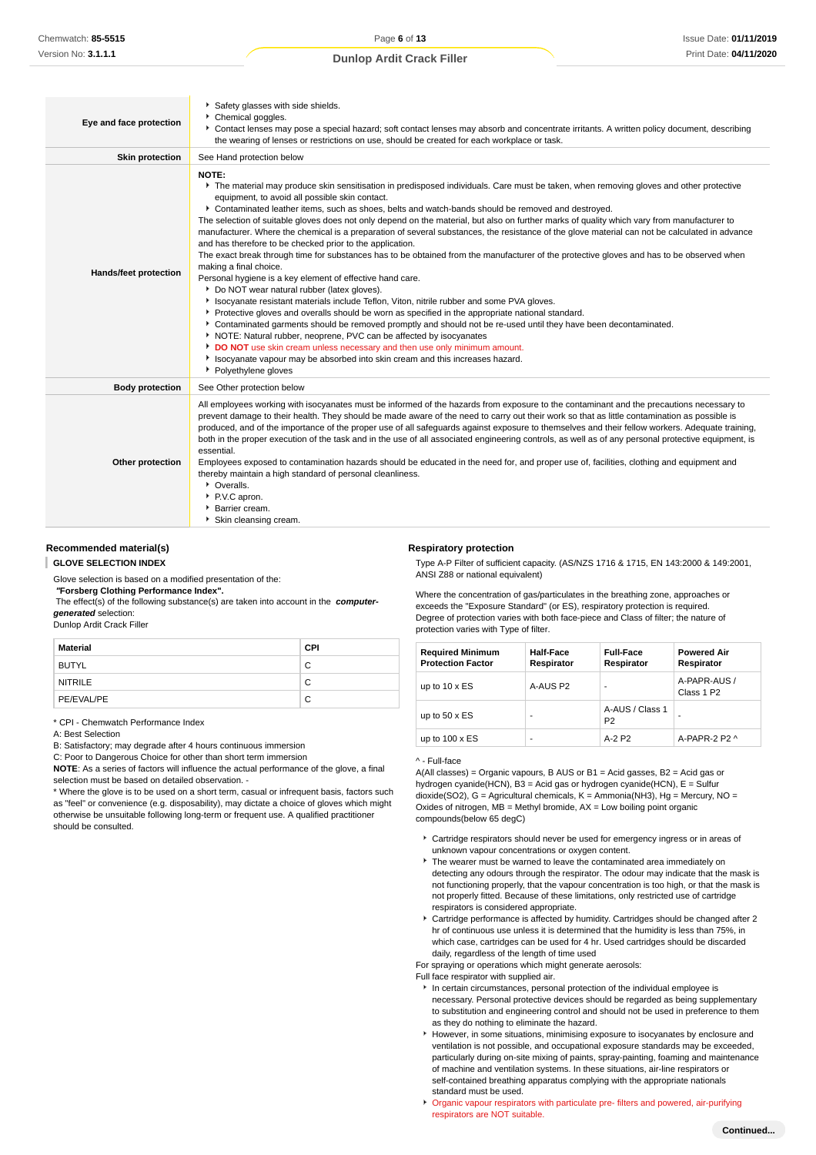| Eye and face protection | Safety glasses with side shields.<br>Chemical goggles.<br>▶ Contact lenses may pose a special hazard; soft contact lenses may absorb and concentrate irritants. A written policy document, describing<br>the wearing of lenses or restrictions on use, should be created for each workplace or task.                                                                                                                                                                                                                                                                                                                                                                                                                                                                                                                                                                                                                                                                                                                                                                                                                                                                                                                                                                                                                                                                                                                                                                                                                                           |
|-------------------------|------------------------------------------------------------------------------------------------------------------------------------------------------------------------------------------------------------------------------------------------------------------------------------------------------------------------------------------------------------------------------------------------------------------------------------------------------------------------------------------------------------------------------------------------------------------------------------------------------------------------------------------------------------------------------------------------------------------------------------------------------------------------------------------------------------------------------------------------------------------------------------------------------------------------------------------------------------------------------------------------------------------------------------------------------------------------------------------------------------------------------------------------------------------------------------------------------------------------------------------------------------------------------------------------------------------------------------------------------------------------------------------------------------------------------------------------------------------------------------------------------------------------------------------------|
| <b>Skin protection</b>  | See Hand protection below                                                                                                                                                                                                                                                                                                                                                                                                                                                                                                                                                                                                                                                                                                                                                                                                                                                                                                                                                                                                                                                                                                                                                                                                                                                                                                                                                                                                                                                                                                                      |
| Hands/feet protection   | NOTE:<br>The material may produce skin sensitisation in predisposed individuals. Care must be taken, when removing gloves and other protective<br>equipment, to avoid all possible skin contact.<br>Contaminated leather items, such as shoes, belts and watch-bands should be removed and destroyed.<br>The selection of suitable gloves does not only depend on the material, but also on further marks of quality which vary from manufacturer to<br>manufacturer. Where the chemical is a preparation of several substances, the resistance of the glove material can not be calculated in advance<br>and has therefore to be checked prior to the application.<br>The exact break through time for substances has to be obtained from the manufacturer of the protective gloves and has to be observed when<br>making a final choice.<br>Personal hygiene is a key element of effective hand care.<br>Do NOT wear natural rubber (latex gloves).<br>In Isocyanate resistant materials include Teflon, Viton, nitrile rubber and some PVA gloves.<br>▶ Protective gloves and overalls should be worn as specified in the appropriate national standard.<br>▶ Contaminated garments should be removed promptly and should not be re-used until they have been decontaminated.<br>NOTE: Natural rubber, neoprene, PVC can be affected by isocyanates<br>DO NOT use skin cream unless necessary and then use only minimum amount.<br>In Isocyanate vapour may be absorbed into skin cream and this increases hazard.<br>• Polyethylene gloves |
| <b>Body protection</b>  | See Other protection below                                                                                                                                                                                                                                                                                                                                                                                                                                                                                                                                                                                                                                                                                                                                                                                                                                                                                                                                                                                                                                                                                                                                                                                                                                                                                                                                                                                                                                                                                                                     |
| Other protection        | All employees working with isocyanates must be informed of the hazards from exposure to the contaminant and the precautions necessary to<br>prevent damage to their health. They should be made aware of the need to carry out their work so that as little contamination as possible is<br>produced, and of the importance of the proper use of all safeguards against exposure to themselves and their fellow workers. Adequate training,<br>both in the proper execution of the task and in the use of all associated engineering controls, as well as of any personal protective equipment, is<br>essential.<br>Employees exposed to contamination hazards should be educated in the need for, and proper use of, facilities, clothing and equipment and<br>thereby maintain a high standard of personal cleanliness.<br>• Overalls.<br>PV.C apron.<br>Barrier cream.<br>Skin cleansing cream.                                                                                                                                                                                                                                                                                                                                                                                                                                                                                                                                                                                                                                             |

#### **Recommended material(s)**

**GLOVE SELECTION INDEX**

Glove selection is based on a modified presentation of the:

 **"Forsberg Clothing Performance Index".**

 The effect(s) of the following substance(s) are taken into account in the **computergenerated** selection:

### Dunlop Ardit Crack Filler

| Material       | <b>CPI</b> |
|----------------|------------|
| BUTYL          | С          |
| <b>NITRILE</b> | С          |
| PE/EVAL/PE     | С          |

\* CPI - Chemwatch Performance Index

A: Best Selection

B: Satisfactory; may degrade after 4 hours continuous immersion

C: Poor to Dangerous Choice for other than short term immersion

**NOTE**: As a series of factors will influence the actual performance of the glove, a final selection must be based on detailed observation. -

\* Where the glove is to be used on a short term, casual or infrequent basis, factors such as "feel" or convenience (e.g. disposability), may dictate a choice of gloves which might otherwise be unsuitable following long-term or frequent use. A qualified practitioner should be consulted.

#### **Respiratory protection**

Type A-P Filter of sufficient capacity. (AS/NZS 1716 & 1715, EN 143:2000 & 149:2001, ANSI Z88 or national equivalent)

Where the concentration of gas/particulates in the breathing zone, approaches or exceeds the "Exposure Standard" (or ES), respiratory protection is required. Degree of protection varies with both face-piece and Class of filter; the nature of protection varies with Type of filter.

| <b>Required Minimum</b><br><b>Protection Factor</b> | <b>Half-Face</b><br>Respirator | <b>Full-Face</b><br>Respirator    | <b>Powered Air</b><br>Respirator       |
|-----------------------------------------------------|--------------------------------|-----------------------------------|----------------------------------------|
| up to $10 \times ES$                                | A-AUS P2                       |                                   | A-PAPR-AUS /<br>Class 1 P <sub>2</sub> |
| up to $50 \times ES$                                | ۰                              | A-AUS / Class 1<br>P <sub>2</sub> |                                        |
| up to $100 \times ES$                               | ۰                              | A-2 P2                            | A-PAPR-2 P2 ^                          |

#### ^ - Full-face

A(All classes) = Organic vapours, B AUS or B1 = Acid gasses, B2 = Acid gas or hydrogen cyanide(HCN), B3 = Acid gas or hydrogen cyanide(HCN), E = Sulfur dioxide(SO2), G = Agricultural chemicals, K = Ammonia(NH3), Hg = Mercury, NO = Oxides of nitrogen,  $MB =$  Methyl bromide,  $AX =$  Low boiling point organic compounds(below 65 degC)

- Cartridge respirators should never be used for emergency ingress or in areas of unknown vapour concentrations or oxygen content.
- The wearer must be warned to leave the contaminated area immediately on detecting any odours through the respirator. The odour may indicate that the mask is not functioning properly, that the vapour concentration is too high, or that the mask is not properly fitted. Because of these limitations, only restricted use of cartridge respirators is considered appropriate.
- Cartridge performance is affected by humidity. Cartridges should be changed after 2 hr of continuous use unless it is determined that the humidity is less than 75%, in which case, cartridges can be used for 4 hr. Used cartridges should be discarded daily, regardless of the length of time used

For spraying or operations which might generate aerosols:

Full face respirator with supplied air.

- In certain circumstances, personal protection of the individual employee is necessary. Personal protective devices should be regarded as being supplementary to substitution and engineering control and should not be used in preference to them as they do nothing to eliminate the hazard.
- However, in some situations, minimising exposure to isocyanates by enclosure and ventilation is not possible, and occupational exposure standards may be exceeded, particularly during on-site mixing of paints, spray-painting, foaming and maintenance of machine and ventilation systems. In these situations, air-line respirators or self-contained breathing apparatus complying with the appropriate nationals standard must be used.
- Organic vapour respirators with particulate pre- filters and powered, air-purifying respirators are NOT suitable.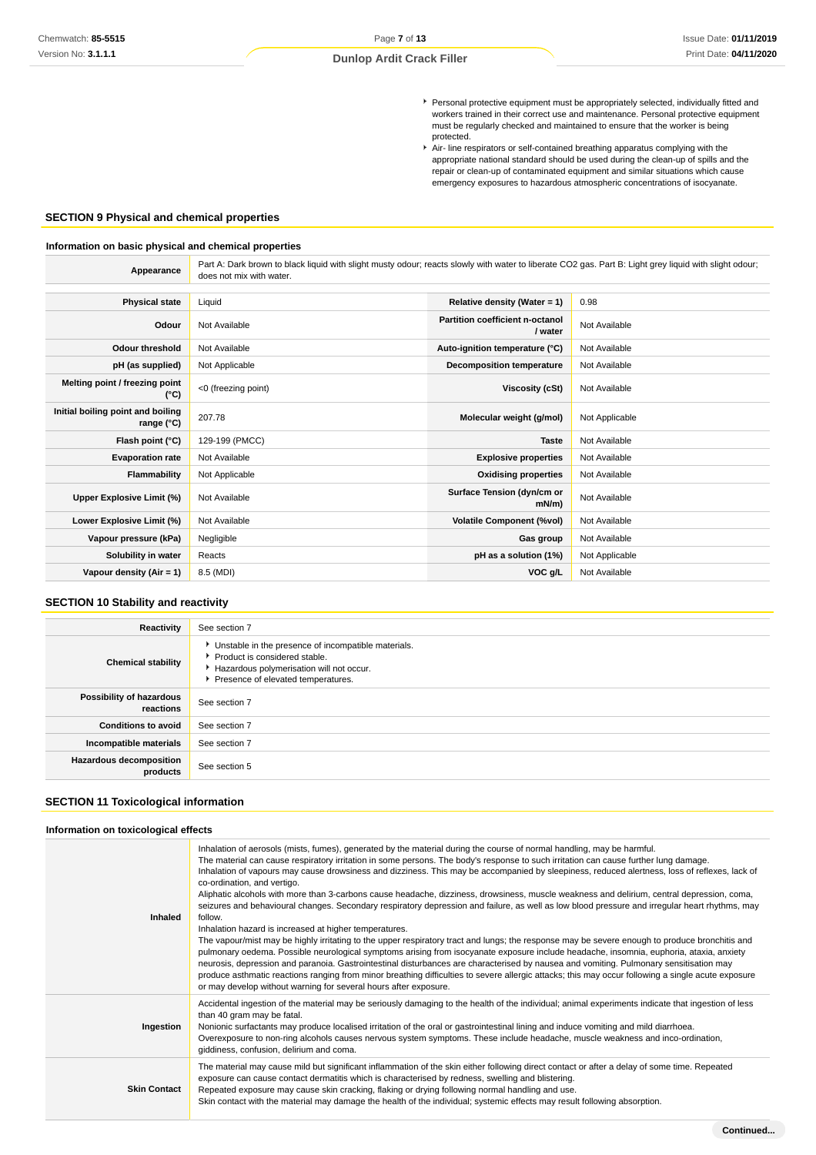- Personal protective equipment must be appropriately selected, individually fitted and workers trained in their correct use and maintenance. Personal protective equipment must be regularly checked and maintained to ensure that the worker is being protected.
- Air- line respirators or self-contained breathing apparatus complying with the appropriate national standard should be used during the clean-up of spills and the repair or clean-up of contaminated equipment and similar situations which cause emergency exposures to hazardous atmospheric concentrations of isocyanate.

### **SECTION 9 Physical and chemical properties**

#### **Information on basic physical and chemical properties**

**Appearance** Part A: Dark brown to black liquid with slight musty odour; reacts slowly with water to liberate CO2 gas. Part B: Light grey liquid with slight odour; does not mix with water.

| <b>Physical state</b>                           | Liquid              | Relative density (Water = $1$ )            | 0.98           |
|-------------------------------------------------|---------------------|--------------------------------------------|----------------|
| Odour                                           | Not Available       | Partition coefficient n-octanol<br>/ water | Not Available  |
| <b>Odour threshold</b>                          | Not Available       | Auto-ignition temperature (°C)             | Not Available  |
| pH (as supplied)                                | Not Applicable      | <b>Decomposition temperature</b>           | Not Available  |
| Melting point / freezing point<br>(°C)          | <0 (freezing point) | Viscosity (cSt)                            | Not Available  |
| Initial boiling point and boiling<br>range (°C) | 207.78              | Molecular weight (g/mol)                   | Not Applicable |
| Flash point (°C)                                | 129-199 (PMCC)      | <b>Taste</b>                               | Not Available  |
| <b>Evaporation rate</b>                         | Not Available       | <b>Explosive properties</b>                | Not Available  |
| Flammability                                    | Not Applicable      | <b>Oxidising properties</b>                | Not Available  |
| Upper Explosive Limit (%)                       | Not Available       | Surface Tension (dyn/cm or<br>$mN/m$ )     | Not Available  |
| Lower Explosive Limit (%)                       | Not Available       | <b>Volatile Component (%vol)</b>           | Not Available  |
| Vapour pressure (kPa)                           | Negligible          | Gas group                                  | Not Available  |
| Solubility in water                             | Reacts              | pH as a solution (1%)                      | Not Applicable |
| Vapour density (Air = 1)                        | 8.5 (MDI)           | VOC g/L                                    | Not Available  |
|                                                 |                     |                                            |                |

### **SECTION 10 Stability and reactivity**

| Reactivity                                 | See section 7                                                                                                                                                          |
|--------------------------------------------|------------------------------------------------------------------------------------------------------------------------------------------------------------------------|
| <b>Chemical stability</b>                  | Unstable in the presence of incompatible materials.<br>Product is considered stable.<br>Hazardous polymerisation will not occur.<br>Presence of elevated temperatures. |
| Possibility of hazardous<br>reactions      | See section 7                                                                                                                                                          |
| <b>Conditions to avoid</b>                 | See section 7                                                                                                                                                          |
| Incompatible materials                     | See section 7                                                                                                                                                          |
| <b>Hazardous decomposition</b><br>products | See section 5                                                                                                                                                          |

### **SECTION 11 Toxicological information**

### **Information on toxicological effects**

| Inhaled             | Inhalation of aerosols (mists, fumes), generated by the material during the course of normal handling, may be harmful.<br>The material can cause respiratory irritation in some persons. The body's response to such irritation can cause further lung damage.<br>Inhalation of vapours may cause drowsiness and dizziness. This may be accompanied by sleepiness, reduced alertness, loss of reflexes, lack of<br>co-ordination, and vertigo.<br>Aliphatic alcohols with more than 3-carbons cause headache, dizziness, drowsiness, muscle weakness and delirium, central depression, coma,<br>seizures and behavioural changes. Secondary respiratory depression and failure, as well as low blood pressure and irregular heart rhythms, may<br>follow.<br>Inhalation hazard is increased at higher temperatures.<br>The vapour/mist may be highly irritating to the upper respiratory tract and lungs; the response may be severe enough to produce bronchitis and<br>pulmonary oedema. Possible neurological symptoms arising from isocyanate exposure include headache, insomnia, euphoria, ataxia, anxiety<br>neurosis, depression and paranoia. Gastrointestinal disturbances are characterised by nausea and vomiting. Pulmonary sensitisation may<br>produce asthmatic reactions ranging from minor breathing difficulties to severe allergic attacks; this may occur following a single acute exposure<br>or may develop without warning for several hours after exposure. |
|---------------------|--------------------------------------------------------------------------------------------------------------------------------------------------------------------------------------------------------------------------------------------------------------------------------------------------------------------------------------------------------------------------------------------------------------------------------------------------------------------------------------------------------------------------------------------------------------------------------------------------------------------------------------------------------------------------------------------------------------------------------------------------------------------------------------------------------------------------------------------------------------------------------------------------------------------------------------------------------------------------------------------------------------------------------------------------------------------------------------------------------------------------------------------------------------------------------------------------------------------------------------------------------------------------------------------------------------------------------------------------------------------------------------------------------------------------------------------------------------------------------------|
| Ingestion           | Accidental ingestion of the material may be seriously damaging to the health of the individual; animal experiments indicate that ingestion of less<br>than 40 gram may be fatal.<br>Nonionic surfactants may produce localised irritation of the oral or gastrointestinal lining and induce vomiting and mild diarrhoea.<br>Overexposure to non-ring alcohols causes nervous system symptoms. These include headache, muscle weakness and inco-ordination,<br>giddiness, confusion, delirium and coma.                                                                                                                                                                                                                                                                                                                                                                                                                                                                                                                                                                                                                                                                                                                                                                                                                                                                                                                                                                               |
| <b>Skin Contact</b> | The material may cause mild but significant inflammation of the skin either following direct contact or after a delay of some time. Repeated<br>exposure can cause contact dermatitis which is characterised by redness, swelling and blistering.<br>Repeated exposure may cause skin cracking, flaking or drying following normal handling and use.<br>Skin contact with the material may damage the health of the individual; systemic effects may result following absorption.                                                                                                                                                                                                                                                                                                                                                                                                                                                                                                                                                                                                                                                                                                                                                                                                                                                                                                                                                                                                    |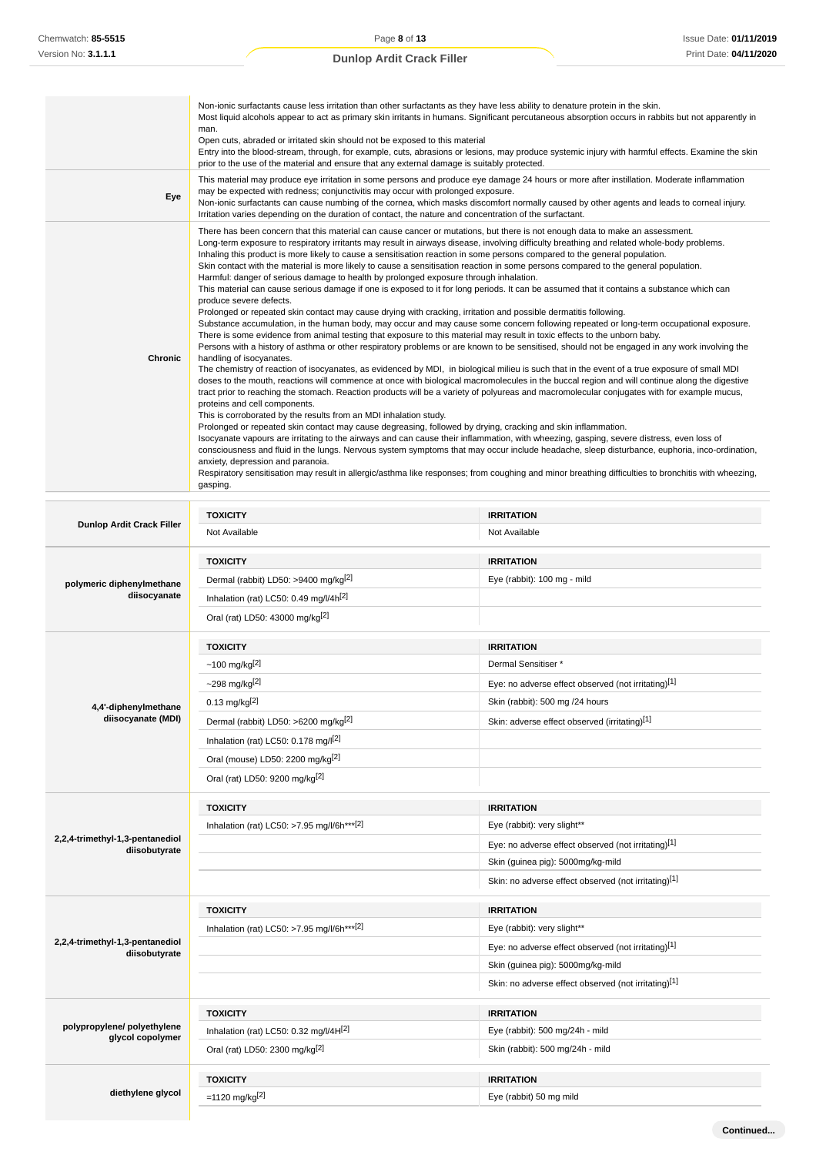÷.

### **Dunlop Ardit Crack Filler**

|                                  | Not Available                                                                                                                                                                                                                                                                                                                                                                                                                                                                                                                                                                                                                                                                                                                                                                                                                                                                                                                                                                                                                                                                                                                                                                                                                                                                                                                                                                                                                                                                                                                                                                                                                                                                                                                                                                                                                                                                                                                                                                                                                                                                                                                                                                                                                                                                                                                                                                                                                                                                                                                                                       | Not Available     |
|----------------------------------|---------------------------------------------------------------------------------------------------------------------------------------------------------------------------------------------------------------------------------------------------------------------------------------------------------------------------------------------------------------------------------------------------------------------------------------------------------------------------------------------------------------------------------------------------------------------------------------------------------------------------------------------------------------------------------------------------------------------------------------------------------------------------------------------------------------------------------------------------------------------------------------------------------------------------------------------------------------------------------------------------------------------------------------------------------------------------------------------------------------------------------------------------------------------------------------------------------------------------------------------------------------------------------------------------------------------------------------------------------------------------------------------------------------------------------------------------------------------------------------------------------------------------------------------------------------------------------------------------------------------------------------------------------------------------------------------------------------------------------------------------------------------------------------------------------------------------------------------------------------------------------------------------------------------------------------------------------------------------------------------------------------------------------------------------------------------------------------------------------------------------------------------------------------------------------------------------------------------------------------------------------------------------------------------------------------------------------------------------------------------------------------------------------------------------------------------------------------------------------------------------------------------------------------------------------------------|-------------------|
| <b>Dunlop Ardit Crack Filler</b> | <b>TOXICITY</b>                                                                                                                                                                                                                                                                                                                                                                                                                                                                                                                                                                                                                                                                                                                                                                                                                                                                                                                                                                                                                                                                                                                                                                                                                                                                                                                                                                                                                                                                                                                                                                                                                                                                                                                                                                                                                                                                                                                                                                                                                                                                                                                                                                                                                                                                                                                                                                                                                                                                                                                                                     | <b>IRRITATION</b> |
| Chronic                          | There has been concern that this material can cause cancer or mutations, but there is not enough data to make an assessment.<br>Long-term exposure to respiratory irritants may result in airways disease, involving difficulty breathing and related whole-body problems.<br>Inhaling this product is more likely to cause a sensitisation reaction in some persons compared to the general population.<br>Skin contact with the material is more likely to cause a sensitisation reaction in some persons compared to the general population.<br>Harmful: danger of serious damage to health by prolonged exposure through inhalation.<br>This material can cause serious damage if one is exposed to it for long periods. It can be assumed that it contains a substance which can<br>produce severe defects.<br>Prolonged or repeated skin contact may cause drying with cracking, irritation and possible dermatitis following.<br>Substance accumulation, in the human body, may occur and may cause some concern following repeated or long-term occupational exposure.<br>There is some evidence from animal testing that exposure to this material may result in toxic effects to the unborn baby.<br>Persons with a history of asthma or other respiratory problems or are known to be sensitised, should not be engaged in any work involving the<br>handling of isocyanates.<br>The chemistry of reaction of isocyanates, as evidenced by MDI, in biological milieu is such that in the event of a true exposure of small MDI<br>doses to the mouth, reactions will commence at once with biological macromolecules in the buccal region and will continue along the digestive<br>tract prior to reaching the stomach. Reaction products will be a variety of polyureas and macromolecular conjugates with for example mucus,<br>proteins and cell components.<br>This is corroborated by the results from an MDI inhalation study.<br>Prolonged or repeated skin contact may cause degreasing, followed by drying, cracking and skin inflammation.<br>Isocyanate vapours are irritating to the airways and can cause their inflammation, with wheezing, gasping, severe distress, even loss of<br>consciousness and fluid in the lungs. Nervous system symptoms that may occur include headache, sleep disturbance, euphoria, inco-ordination,<br>anxiety, depression and paranoia.<br>Respiratory sensitisation may result in allergic/asthma like responses; from coughing and minor breathing difficulties to bronchitis with wheezing,<br>gasping. |                   |
| Eye                              | This material may produce eye irritation in some persons and produce eye damage 24 hours or more after instillation. Moderate inflammation<br>may be expected with redness; conjunctivitis may occur with prolonged exposure.<br>Non-ionic surfactants can cause numbing of the cornea, which masks discomfort normally caused by other agents and leads to corneal injury.<br>Irritation varies depending on the duration of contact, the nature and concentration of the surfactant.                                                                                                                                                                                                                                                                                                                                                                                                                                                                                                                                                                                                                                                                                                                                                                                                                                                                                                                                                                                                                                                                                                                                                                                                                                                                                                                                                                                                                                                                                                                                                                                                                                                                                                                                                                                                                                                                                                                                                                                                                                                                              |                   |
|                                  | Non-ionic surfactants cause less irritation than other surfactants as they have less ability to denature protein in the skin.<br>Most liquid alcohols appear to act as primary skin irritants in humans. Significant percutaneous absorption occurs in rabbits but not apparently in<br>man.<br>Open cuts, abraded or irritated skin should not be exposed to this material<br>Entry into the blood-stream, through, for example, cuts, abrasions or lesions, may produce systemic injury with harmful effects. Examine the skin<br>prior to the use of the material and ensure that any external damage is suitably protected.                                                                                                                                                                                                                                                                                                                                                                                                                                                                                                                                                                                                                                                                                                                                                                                                                                                                                                                                                                                                                                                                                                                                                                                                                                                                                                                                                                                                                                                                                                                                                                                                                                                                                                                                                                                                                                                                                                                                     |                   |

| <b>TOXICITY</b><br><b>IRRITATION</b><br>Dermal (rabbit) LD50: >9400 mg/kg <sup>[2]</sup><br>Eye (rabbit): 100 mg - mild<br>polymeric diphenylmethane<br>diisocyanate<br>Inhalation (rat) LC50: 0.49 mg/l/4h <sup>[2]</sup><br>Oral (rat) LD50: 43000 mg/kg <sup>[2]</sup><br><b>TOXICITY</b><br><b>IRRITATION</b><br>$~100 \, \text{mg/kg}^{[2]}$<br>Dermal Sensitiser *<br>~298 mg/kg[2]<br>Eye: no adverse effect observed (not irritating)[1]<br>$0.13$ mg/kg <sup>[2]</sup><br>Skin (rabbit): 500 mg /24 hours<br>4,4'-diphenylmethane<br>diisocyanate (MDI)<br>Dermal (rabbit) LD50: >6200 mg/kg <sup>[2]</sup><br>Skin: adverse effect observed (irritating)[1]<br>Inhalation (rat) LC50: $0.178$ mg/ $\vert$ <sup>[2]</sup><br>Oral (mouse) LD50: 2200 mg/kg <sup>[2]</sup><br>Oral (rat) LD50: 9200 mg/kg <sup>[2]</sup><br><b>IRRITATION</b><br><b>TOXICITY</b><br>Inhalation (rat) LC50: >7.95 mg/l/6h***[2]<br>Eye (rabbit): very slight**<br>2,2,4-trimethyl-1,3-pentanediol<br>Eye: no adverse effect observed (not irritating)[1]<br>diisobutyrate<br>Skin (guinea pig): 5000mg/kg-mild<br>Skin: no adverse effect observed (not irritating)[1]<br><b>IRRITATION</b><br><b>TOXICITY</b><br>Inhalation (rat) LC50: >7.95 mg/l/6h***[2]<br>Eye (rabbit): very slight**<br>2,2,4-trimethyl-1,3-pentanediol<br>Eye: no adverse effect observed (not irritating)[1]<br>diisobutyrate<br>Skin (guinea pig): 5000mg/kg-mild<br>Skin: no adverse effect observed (not irritating)[1]<br><b>TOXICITY</b><br><b>IRRITATION</b><br>polypropylene/ polyethylene<br>Inhalation (rat) LC50: 0.32 mg/l/4H[2]<br>Eye (rabbit): 500 mg/24h - mild<br>glycol copolymer<br>Oral (rat) LD50: 2300 mg/kg <sup>[2]</sup><br>Skin (rabbit): 500 mg/24h - mild<br><b>TOXICITY</b><br><b>IRRITATION</b><br>diethylene glycol<br>=1120 mg/kg <sup>[2]</sup><br>Eye (rabbit) 50 mg mild |  | טושטערושטע | i vui Avallaulu |
|----------------------------------------------------------------------------------------------------------------------------------------------------------------------------------------------------------------------------------------------------------------------------------------------------------------------------------------------------------------------------------------------------------------------------------------------------------------------------------------------------------------------------------------------------------------------------------------------------------------------------------------------------------------------------------------------------------------------------------------------------------------------------------------------------------------------------------------------------------------------------------------------------------------------------------------------------------------------------------------------------------------------------------------------------------------------------------------------------------------------------------------------------------------------------------------------------------------------------------------------------------------------------------------------------------------------------------------------------------------------------------------------------------------------------------------------------------------------------------------------------------------------------------------------------------------------------------------------------------------------------------------------------------------------------------------------------------------------------------------------------------------------------------------------------------------------------------------------------------------------------|--|------------|-----------------|
|                                                                                                                                                                                                                                                                                                                                                                                                                                                                                                                                                                                                                                                                                                                                                                                                                                                                                                                                                                                                                                                                                                                                                                                                                                                                                                                                                                                                                                                                                                                                                                                                                                                                                                                                                                                                                                                                            |  |            |                 |
|                                                                                                                                                                                                                                                                                                                                                                                                                                                                                                                                                                                                                                                                                                                                                                                                                                                                                                                                                                                                                                                                                                                                                                                                                                                                                                                                                                                                                                                                                                                                                                                                                                                                                                                                                                                                                                                                            |  |            |                 |
|                                                                                                                                                                                                                                                                                                                                                                                                                                                                                                                                                                                                                                                                                                                                                                                                                                                                                                                                                                                                                                                                                                                                                                                                                                                                                                                                                                                                                                                                                                                                                                                                                                                                                                                                                                                                                                                                            |  |            |                 |
|                                                                                                                                                                                                                                                                                                                                                                                                                                                                                                                                                                                                                                                                                                                                                                                                                                                                                                                                                                                                                                                                                                                                                                                                                                                                                                                                                                                                                                                                                                                                                                                                                                                                                                                                                                                                                                                                            |  |            |                 |
|                                                                                                                                                                                                                                                                                                                                                                                                                                                                                                                                                                                                                                                                                                                                                                                                                                                                                                                                                                                                                                                                                                                                                                                                                                                                                                                                                                                                                                                                                                                                                                                                                                                                                                                                                                                                                                                                            |  |            |                 |
|                                                                                                                                                                                                                                                                                                                                                                                                                                                                                                                                                                                                                                                                                                                                                                                                                                                                                                                                                                                                                                                                                                                                                                                                                                                                                                                                                                                                                                                                                                                                                                                                                                                                                                                                                                                                                                                                            |  |            |                 |
|                                                                                                                                                                                                                                                                                                                                                                                                                                                                                                                                                                                                                                                                                                                                                                                                                                                                                                                                                                                                                                                                                                                                                                                                                                                                                                                                                                                                                                                                                                                                                                                                                                                                                                                                                                                                                                                                            |  |            |                 |
|                                                                                                                                                                                                                                                                                                                                                                                                                                                                                                                                                                                                                                                                                                                                                                                                                                                                                                                                                                                                                                                                                                                                                                                                                                                                                                                                                                                                                                                                                                                                                                                                                                                                                                                                                                                                                                                                            |  |            |                 |
|                                                                                                                                                                                                                                                                                                                                                                                                                                                                                                                                                                                                                                                                                                                                                                                                                                                                                                                                                                                                                                                                                                                                                                                                                                                                                                                                                                                                                                                                                                                                                                                                                                                                                                                                                                                                                                                                            |  |            |                 |
|                                                                                                                                                                                                                                                                                                                                                                                                                                                                                                                                                                                                                                                                                                                                                                                                                                                                                                                                                                                                                                                                                                                                                                                                                                                                                                                                                                                                                                                                                                                                                                                                                                                                                                                                                                                                                                                                            |  |            |                 |
|                                                                                                                                                                                                                                                                                                                                                                                                                                                                                                                                                                                                                                                                                                                                                                                                                                                                                                                                                                                                                                                                                                                                                                                                                                                                                                                                                                                                                                                                                                                                                                                                                                                                                                                                                                                                                                                                            |  |            |                 |
|                                                                                                                                                                                                                                                                                                                                                                                                                                                                                                                                                                                                                                                                                                                                                                                                                                                                                                                                                                                                                                                                                                                                                                                                                                                                                                                                                                                                                                                                                                                                                                                                                                                                                                                                                                                                                                                                            |  |            |                 |
|                                                                                                                                                                                                                                                                                                                                                                                                                                                                                                                                                                                                                                                                                                                                                                                                                                                                                                                                                                                                                                                                                                                                                                                                                                                                                                                                                                                                                                                                                                                                                                                                                                                                                                                                                                                                                                                                            |  |            |                 |
|                                                                                                                                                                                                                                                                                                                                                                                                                                                                                                                                                                                                                                                                                                                                                                                                                                                                                                                                                                                                                                                                                                                                                                                                                                                                                                                                                                                                                                                                                                                                                                                                                                                                                                                                                                                                                                                                            |  |            |                 |
|                                                                                                                                                                                                                                                                                                                                                                                                                                                                                                                                                                                                                                                                                                                                                                                                                                                                                                                                                                                                                                                                                                                                                                                                                                                                                                                                                                                                                                                                                                                                                                                                                                                                                                                                                                                                                                                                            |  |            |                 |
|                                                                                                                                                                                                                                                                                                                                                                                                                                                                                                                                                                                                                                                                                                                                                                                                                                                                                                                                                                                                                                                                                                                                                                                                                                                                                                                                                                                                                                                                                                                                                                                                                                                                                                                                                                                                                                                                            |  |            |                 |
|                                                                                                                                                                                                                                                                                                                                                                                                                                                                                                                                                                                                                                                                                                                                                                                                                                                                                                                                                                                                                                                                                                                                                                                                                                                                                                                                                                                                                                                                                                                                                                                                                                                                                                                                                                                                                                                                            |  |            |                 |
|                                                                                                                                                                                                                                                                                                                                                                                                                                                                                                                                                                                                                                                                                                                                                                                                                                                                                                                                                                                                                                                                                                                                                                                                                                                                                                                                                                                                                                                                                                                                                                                                                                                                                                                                                                                                                                                                            |  |            |                 |
|                                                                                                                                                                                                                                                                                                                                                                                                                                                                                                                                                                                                                                                                                                                                                                                                                                                                                                                                                                                                                                                                                                                                                                                                                                                                                                                                                                                                                                                                                                                                                                                                                                                                                                                                                                                                                                                                            |  |            |                 |
|                                                                                                                                                                                                                                                                                                                                                                                                                                                                                                                                                                                                                                                                                                                                                                                                                                                                                                                                                                                                                                                                                                                                                                                                                                                                                                                                                                                                                                                                                                                                                                                                                                                                                                                                                                                                                                                                            |  |            |                 |
|                                                                                                                                                                                                                                                                                                                                                                                                                                                                                                                                                                                                                                                                                                                                                                                                                                                                                                                                                                                                                                                                                                                                                                                                                                                                                                                                                                                                                                                                                                                                                                                                                                                                                                                                                                                                                                                                            |  |            |                 |
|                                                                                                                                                                                                                                                                                                                                                                                                                                                                                                                                                                                                                                                                                                                                                                                                                                                                                                                                                                                                                                                                                                                                                                                                                                                                                                                                                                                                                                                                                                                                                                                                                                                                                                                                                                                                                                                                            |  |            |                 |
|                                                                                                                                                                                                                                                                                                                                                                                                                                                                                                                                                                                                                                                                                                                                                                                                                                                                                                                                                                                                                                                                                                                                                                                                                                                                                                                                                                                                                                                                                                                                                                                                                                                                                                                                                                                                                                                                            |  |            |                 |
|                                                                                                                                                                                                                                                                                                                                                                                                                                                                                                                                                                                                                                                                                                                                                                                                                                                                                                                                                                                                                                                                                                                                                                                                                                                                                                                                                                                                                                                                                                                                                                                                                                                                                                                                                                                                                                                                            |  |            |                 |
|                                                                                                                                                                                                                                                                                                                                                                                                                                                                                                                                                                                                                                                                                                                                                                                                                                                                                                                                                                                                                                                                                                                                                                                                                                                                                                                                                                                                                                                                                                                                                                                                                                                                                                                                                                                                                                                                            |  |            |                 |
|                                                                                                                                                                                                                                                                                                                                                                                                                                                                                                                                                                                                                                                                                                                                                                                                                                                                                                                                                                                                                                                                                                                                                                                                                                                                                                                                                                                                                                                                                                                                                                                                                                                                                                                                                                                                                                                                            |  |            |                 |
|                                                                                                                                                                                                                                                                                                                                                                                                                                                                                                                                                                                                                                                                                                                                                                                                                                                                                                                                                                                                                                                                                                                                                                                                                                                                                                                                                                                                                                                                                                                                                                                                                                                                                                                                                                                                                                                                            |  |            |                 |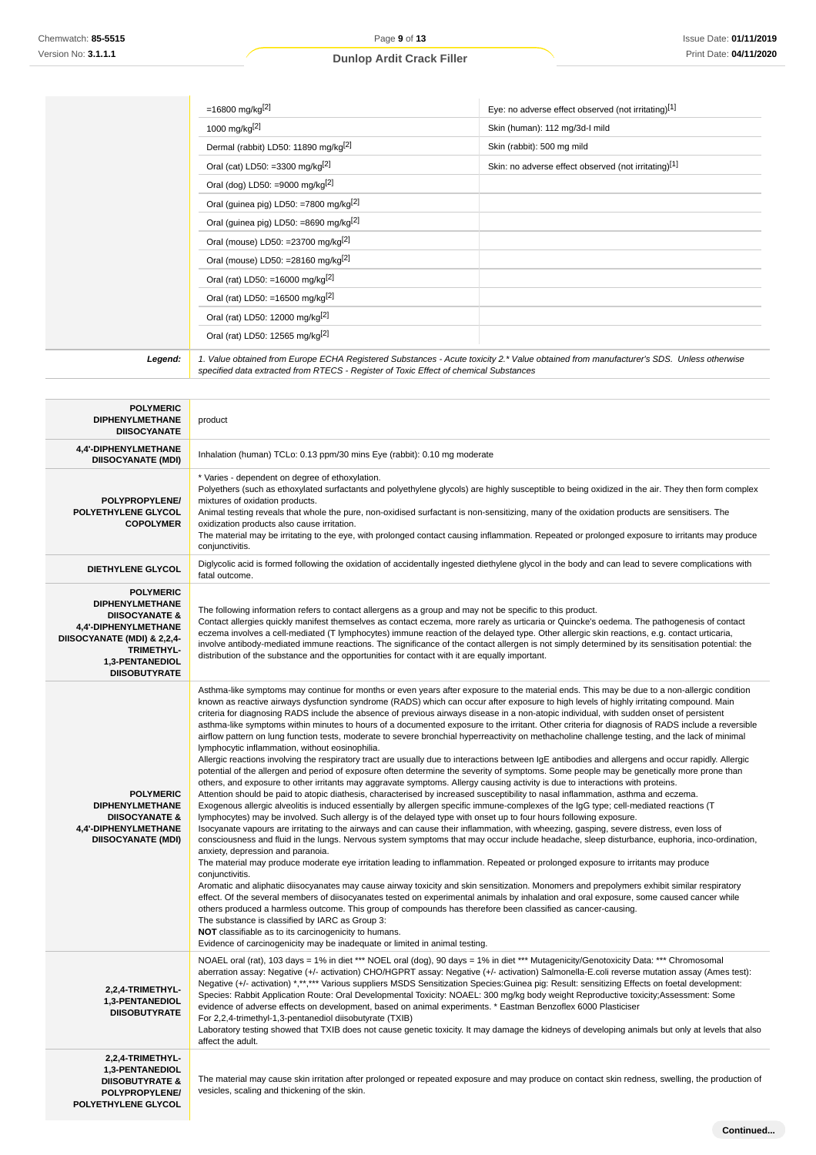|                                                                                                                                                                                                | =16800 mg/kg <sup>[2]</sup>                                                                                                                                                                                                                                                                                                                                                                                                                                                                                                                                                                                                                                                                                                                                                                                                                                                                                                                                                                                                                                                                                                                                                                                                                                                                                                                                                                                                                                                                                                                                                                                                                                                                                                                                                                                                                                                                                                                                                                                                                                                                                                                                                                                                                                                                                                                                                                                                                                                                                                                                                                                                                                   | Eye: no adverse effect observed (not irritating)[1]  |  |
|------------------------------------------------------------------------------------------------------------------------------------------------------------------------------------------------|---------------------------------------------------------------------------------------------------------------------------------------------------------------------------------------------------------------------------------------------------------------------------------------------------------------------------------------------------------------------------------------------------------------------------------------------------------------------------------------------------------------------------------------------------------------------------------------------------------------------------------------------------------------------------------------------------------------------------------------------------------------------------------------------------------------------------------------------------------------------------------------------------------------------------------------------------------------------------------------------------------------------------------------------------------------------------------------------------------------------------------------------------------------------------------------------------------------------------------------------------------------------------------------------------------------------------------------------------------------------------------------------------------------------------------------------------------------------------------------------------------------------------------------------------------------------------------------------------------------------------------------------------------------------------------------------------------------------------------------------------------------------------------------------------------------------------------------------------------------------------------------------------------------------------------------------------------------------------------------------------------------------------------------------------------------------------------------------------------------------------------------------------------------------------------------------------------------------------------------------------------------------------------------------------------------------------------------------------------------------------------------------------------------------------------------------------------------------------------------------------------------------------------------------------------------------------------------------------------------------------------------------------------------|------------------------------------------------------|--|
|                                                                                                                                                                                                | 1000 mg/kg[2]                                                                                                                                                                                                                                                                                                                                                                                                                                                                                                                                                                                                                                                                                                                                                                                                                                                                                                                                                                                                                                                                                                                                                                                                                                                                                                                                                                                                                                                                                                                                                                                                                                                                                                                                                                                                                                                                                                                                                                                                                                                                                                                                                                                                                                                                                                                                                                                                                                                                                                                                                                                                                                                 | Skin (human): 112 mg/3d-l mild                       |  |
|                                                                                                                                                                                                | Dermal (rabbit) LD50: 11890 mg/kg <sup>[2]</sup>                                                                                                                                                                                                                                                                                                                                                                                                                                                                                                                                                                                                                                                                                                                                                                                                                                                                                                                                                                                                                                                                                                                                                                                                                                                                                                                                                                                                                                                                                                                                                                                                                                                                                                                                                                                                                                                                                                                                                                                                                                                                                                                                                                                                                                                                                                                                                                                                                                                                                                                                                                                                              | Skin (rabbit): 500 mg mild                           |  |
|                                                                                                                                                                                                | Oral (cat) LD50: =3300 mg/kg <sup>[2]</sup>                                                                                                                                                                                                                                                                                                                                                                                                                                                                                                                                                                                                                                                                                                                                                                                                                                                                                                                                                                                                                                                                                                                                                                                                                                                                                                                                                                                                                                                                                                                                                                                                                                                                                                                                                                                                                                                                                                                                                                                                                                                                                                                                                                                                                                                                                                                                                                                                                                                                                                                                                                                                                   | Skin: no adverse effect observed (not irritating)[1] |  |
|                                                                                                                                                                                                | Oral (dog) LD50: =9000 mg/kg $[2]$                                                                                                                                                                                                                                                                                                                                                                                                                                                                                                                                                                                                                                                                                                                                                                                                                                                                                                                                                                                                                                                                                                                                                                                                                                                                                                                                                                                                                                                                                                                                                                                                                                                                                                                                                                                                                                                                                                                                                                                                                                                                                                                                                                                                                                                                                                                                                                                                                                                                                                                                                                                                                            |                                                      |  |
|                                                                                                                                                                                                | Oral (guinea pig) LD50: =7800 mg/kg <sup>[2]</sup>                                                                                                                                                                                                                                                                                                                                                                                                                                                                                                                                                                                                                                                                                                                                                                                                                                                                                                                                                                                                                                                                                                                                                                                                                                                                                                                                                                                                                                                                                                                                                                                                                                                                                                                                                                                                                                                                                                                                                                                                                                                                                                                                                                                                                                                                                                                                                                                                                                                                                                                                                                                                            |                                                      |  |
|                                                                                                                                                                                                | Oral (guinea pig) LD50: =8690 mg/kg <sup>[2]</sup>                                                                                                                                                                                                                                                                                                                                                                                                                                                                                                                                                                                                                                                                                                                                                                                                                                                                                                                                                                                                                                                                                                                                                                                                                                                                                                                                                                                                                                                                                                                                                                                                                                                                                                                                                                                                                                                                                                                                                                                                                                                                                                                                                                                                                                                                                                                                                                                                                                                                                                                                                                                                            |                                                      |  |
|                                                                                                                                                                                                | Oral (mouse) LD50: =23700 mg/kg $^{[2]}$                                                                                                                                                                                                                                                                                                                                                                                                                                                                                                                                                                                                                                                                                                                                                                                                                                                                                                                                                                                                                                                                                                                                                                                                                                                                                                                                                                                                                                                                                                                                                                                                                                                                                                                                                                                                                                                                                                                                                                                                                                                                                                                                                                                                                                                                                                                                                                                                                                                                                                                                                                                                                      |                                                      |  |
|                                                                                                                                                                                                | Oral (mouse) LD50: =28160 mg/kg <sup>[2]</sup>                                                                                                                                                                                                                                                                                                                                                                                                                                                                                                                                                                                                                                                                                                                                                                                                                                                                                                                                                                                                                                                                                                                                                                                                                                                                                                                                                                                                                                                                                                                                                                                                                                                                                                                                                                                                                                                                                                                                                                                                                                                                                                                                                                                                                                                                                                                                                                                                                                                                                                                                                                                                                |                                                      |  |
|                                                                                                                                                                                                | Oral (rat) LD50: =16000 mg/kg <sup>[2]</sup>                                                                                                                                                                                                                                                                                                                                                                                                                                                                                                                                                                                                                                                                                                                                                                                                                                                                                                                                                                                                                                                                                                                                                                                                                                                                                                                                                                                                                                                                                                                                                                                                                                                                                                                                                                                                                                                                                                                                                                                                                                                                                                                                                                                                                                                                                                                                                                                                                                                                                                                                                                                                                  |                                                      |  |
|                                                                                                                                                                                                | Oral (rat) LD50: =16500 mg/kg <sup>[2]</sup>                                                                                                                                                                                                                                                                                                                                                                                                                                                                                                                                                                                                                                                                                                                                                                                                                                                                                                                                                                                                                                                                                                                                                                                                                                                                                                                                                                                                                                                                                                                                                                                                                                                                                                                                                                                                                                                                                                                                                                                                                                                                                                                                                                                                                                                                                                                                                                                                                                                                                                                                                                                                                  |                                                      |  |
|                                                                                                                                                                                                | Oral (rat) LD50: 12000 mg/kg <sup>[2]</sup>                                                                                                                                                                                                                                                                                                                                                                                                                                                                                                                                                                                                                                                                                                                                                                                                                                                                                                                                                                                                                                                                                                                                                                                                                                                                                                                                                                                                                                                                                                                                                                                                                                                                                                                                                                                                                                                                                                                                                                                                                                                                                                                                                                                                                                                                                                                                                                                                                                                                                                                                                                                                                   |                                                      |  |
|                                                                                                                                                                                                | Oral (rat) LD50: 12565 mg/kg <sup>[2]</sup>                                                                                                                                                                                                                                                                                                                                                                                                                                                                                                                                                                                                                                                                                                                                                                                                                                                                                                                                                                                                                                                                                                                                                                                                                                                                                                                                                                                                                                                                                                                                                                                                                                                                                                                                                                                                                                                                                                                                                                                                                                                                                                                                                                                                                                                                                                                                                                                                                                                                                                                                                                                                                   |                                                      |  |
| Legend:                                                                                                                                                                                        | 1. Value obtained from Europe ECHA Registered Substances - Acute toxicity 2.* Value obtained from manufacturer's SDS. Unless otherwise<br>specified data extracted from RTECS - Register of Toxic Effect of chemical Substances                                                                                                                                                                                                                                                                                                                                                                                                                                                                                                                                                                                                                                                                                                                                                                                                                                                                                                                                                                                                                                                                                                                                                                                                                                                                                                                                                                                                                                                                                                                                                                                                                                                                                                                                                                                                                                                                                                                                                                                                                                                                                                                                                                                                                                                                                                                                                                                                                               |                                                      |  |
| <b>POLYMERIC</b><br><b>DIPHENYLMETHANE</b><br><b>DIISOCYANATE</b>                                                                                                                              | product                                                                                                                                                                                                                                                                                                                                                                                                                                                                                                                                                                                                                                                                                                                                                                                                                                                                                                                                                                                                                                                                                                                                                                                                                                                                                                                                                                                                                                                                                                                                                                                                                                                                                                                                                                                                                                                                                                                                                                                                                                                                                                                                                                                                                                                                                                                                                                                                                                                                                                                                                                                                                                                       |                                                      |  |
| 4,4'-DIPHENYLMETHANE<br><b>DIISOCYANATE (MDI)</b>                                                                                                                                              | Inhalation (human) TCLo: 0.13 ppm/30 mins Eye (rabbit): 0.10 mg moderate                                                                                                                                                                                                                                                                                                                                                                                                                                                                                                                                                                                                                                                                                                                                                                                                                                                                                                                                                                                                                                                                                                                                                                                                                                                                                                                                                                                                                                                                                                                                                                                                                                                                                                                                                                                                                                                                                                                                                                                                                                                                                                                                                                                                                                                                                                                                                                                                                                                                                                                                                                                      |                                                      |  |
| POLYPROPYLENE/<br>POLYETHYLENE GLYCOL<br><b>COPOLYMER</b>                                                                                                                                      | * Varies - dependent on degree of ethoxylation.<br>Polyethers (such as ethoxylated surfactants and polyethylene glycols) are highly susceptible to being oxidized in the air. They then form complex<br>mixtures of oxidation products.<br>Animal testing reveals that whole the pure, non-oxidised surfactant is non-sensitizing, many of the oxidation products are sensitisers. The<br>oxidization products also cause irritation.<br>The material may be irritating to the eye, with prolonged contact causing inflammation. Repeated or prolonged exposure to irritants may produce<br>conjunctivitis.                                                                                                                                                                                                                                                                                                                                                                                                                                                                                                                                                                                                                                                                                                                                                                                                                                                                                                                                                                                                                                                                                                                                                                                                                                                                                                                                                                                                                                                                                                                                                                                                                                                                                                                                                                                                                                                                                                                                                                                                                                                   |                                                      |  |
| <b>DIETHYLENE GLYCOL</b>                                                                                                                                                                       | Diglycolic acid is formed following the oxidation of accidentally ingested diethylene glycol in the body and can lead to severe complications with<br>fatal outcome.                                                                                                                                                                                                                                                                                                                                                                                                                                                                                                                                                                                                                                                                                                                                                                                                                                                                                                                                                                                                                                                                                                                                                                                                                                                                                                                                                                                                                                                                                                                                                                                                                                                                                                                                                                                                                                                                                                                                                                                                                                                                                                                                                                                                                                                                                                                                                                                                                                                                                          |                                                      |  |
| <b>POLYMERIC</b><br><b>DIPHENYLMETHANE</b><br><b>DIISOCYANATE &amp;</b><br>4,4'-DIPHENYLMETHANE<br>DIISOCYANATE (MDI) & 2,2,4-<br><b>TRIMETHYL-</b><br>1,3-PENTANEDIOL<br><b>DIISOBUTYRATE</b> | The following information refers to contact allergens as a group and may not be specific to this product.<br>Contact allergies quickly manifest themselves as contact eczema, more rarely as urticaria or Quincke's oedema. The pathogenesis of contact<br>eczema involves a cell-mediated (T lymphocytes) immune reaction of the delayed type. Other allergic skin reactions, e.g. contact urticaria,<br>involve antibody-mediated immune reactions. The significance of the contact allergen is not simply determined by its sensitisation potential: the<br>distribution of the substance and the opportunities for contact with it are equally important.                                                                                                                                                                                                                                                                                                                                                                                                                                                                                                                                                                                                                                                                                                                                                                                                                                                                                                                                                                                                                                                                                                                                                                                                                                                                                                                                                                                                                                                                                                                                                                                                                                                                                                                                                                                                                                                                                                                                                                                                 |                                                      |  |
| <b>POLYMERIC</b><br><b>DIPHENYLMETHANE</b><br><b>DIISOCYANATE &amp;</b><br>4,4'-DIPHENYLMETHANE<br><b>DIISOCYANATE (MDI)</b>                                                                   | Asthma-like symptoms may continue for months or even years after exposure to the material ends. This may be due to a non-allergic condition<br>known as reactive airways dysfunction syndrome (RADS) which can occur after exposure to high levels of highly irritating compound. Main<br>criteria for diagnosing RADS include the absence of previous airways disease in a non-atopic individual, with sudden onset of persistent<br>asthma-like symptoms within minutes to hours of a documented exposure to the irritant. Other criteria for diagnosis of RADS include a reversible<br>airflow pattern on lung function tests, moderate to severe bronchial hyperreactivity on methacholine challenge testing, and the lack of minimal<br>lymphocytic inflammation, without eosinophilia.<br>Allergic reactions involving the respiratory tract are usually due to interactions between IgE antibodies and allergens and occur rapidly. Allergic<br>potential of the allergen and period of exposure often determine the severity of symptoms. Some people may be genetically more prone than<br>others, and exposure to other irritants may aggravate symptoms. Allergy causing activity is due to interactions with proteins.<br>Attention should be paid to atopic diathesis, characterised by increased susceptibility to nasal inflammation, asthma and eczema.<br>Exogenous allergic alveolitis is induced essentially by allergen specific immune-complexes of the IgG type; cell-mediated reactions (T<br>lymphocytes) may be involved. Such allergy is of the delayed type with onset up to four hours following exposure.<br>Isocyanate vapours are irritating to the airways and can cause their inflammation, with wheezing, gasping, severe distress, even loss of<br>consciousness and fluid in the lungs. Nervous system symptoms that may occur include headache, sleep disturbance, euphoria, inco-ordination,<br>anxiety, depression and paranoia.<br>The material may produce moderate eye irritation leading to inflammation. Repeated or prolonged exposure to irritants may produce<br>conjunctivitis.<br>Aromatic and aliphatic diisocyanates may cause airway toxicity and skin sensitization. Monomers and prepolymers exhibit similar respiratory<br>effect. Of the several members of diisocyanates tested on experimental animals by inhalation and oral exposure, some caused cancer while<br>others produced a harmless outcome. This group of compounds has therefore been classified as cancer-causing.<br>The substance is classified by IARC as Group 3:<br><b>NOT</b> classifiable as to its carcinogenicity to humans. |                                                      |  |
| 2,2,4-TRIMETHYL-<br><b>1.3-DENTANEDIOL</b>                                                                                                                                                     | Evidence of carcinogenicity may be inadequate or limited in animal testing.<br>NOAEL oral (rat), 103 days = 1% in diet *** NOEL oral (dog), 90 days = 1% in diet *** Mutagenicity/Genotoxicity Data: *** Chromosomal<br>aberration assay: Negative (+/- activation) CHO/HGPRT assay: Negative (+/- activation) Salmonella-E.coli reverse mutation assay (Ames test):<br>Negative (+/- activation) *,**,*** Various suppliers MSDS Sensitization Species:Guinea pig: Result: sensitizing Effects on foetal development:<br>Species: Rabbit Application Route: Oral Developmental Toxicity: NOAEL: 300 mg/kg body weight Reproductive toxicity;Assessment: Some                                                                                                                                                                                                                                                                                                                                                                                                                                                                                                                                                                                                                                                                                                                                                                                                                                                                                                                                                                                                                                                                                                                                                                                                                                                                                                                                                                                                                                                                                                                                                                                                                                                                                                                                                                                                                                                                                                                                                                                                 |                                                      |  |

**1,3-PENTANEDIOL DIISOBUTYRATE** evidence of adverse effects on development, based on animal experiments. \* Eastman Benzoflex 6000 Plasticiser

For 2,2,4-trimethyl-1,3-pentanediol diisobutyrate (TXIB) Laboratory testing showed that TXIB does not cause genetic toxicity. It may damage the kidneys of developing animals but only at levels that also affect the adult.

**2,2,4-TRIMETHYL-1,3-PENTANEDIOL DIISOBUTYRATE & POLYPROPYLENE/ POLYETHYLENE GLYCOL**

The material may cause skin irritation after prolonged or repeated exposure and may produce on contact skin redness, swelling, the production of vesicles, scaling and thickening of the skin.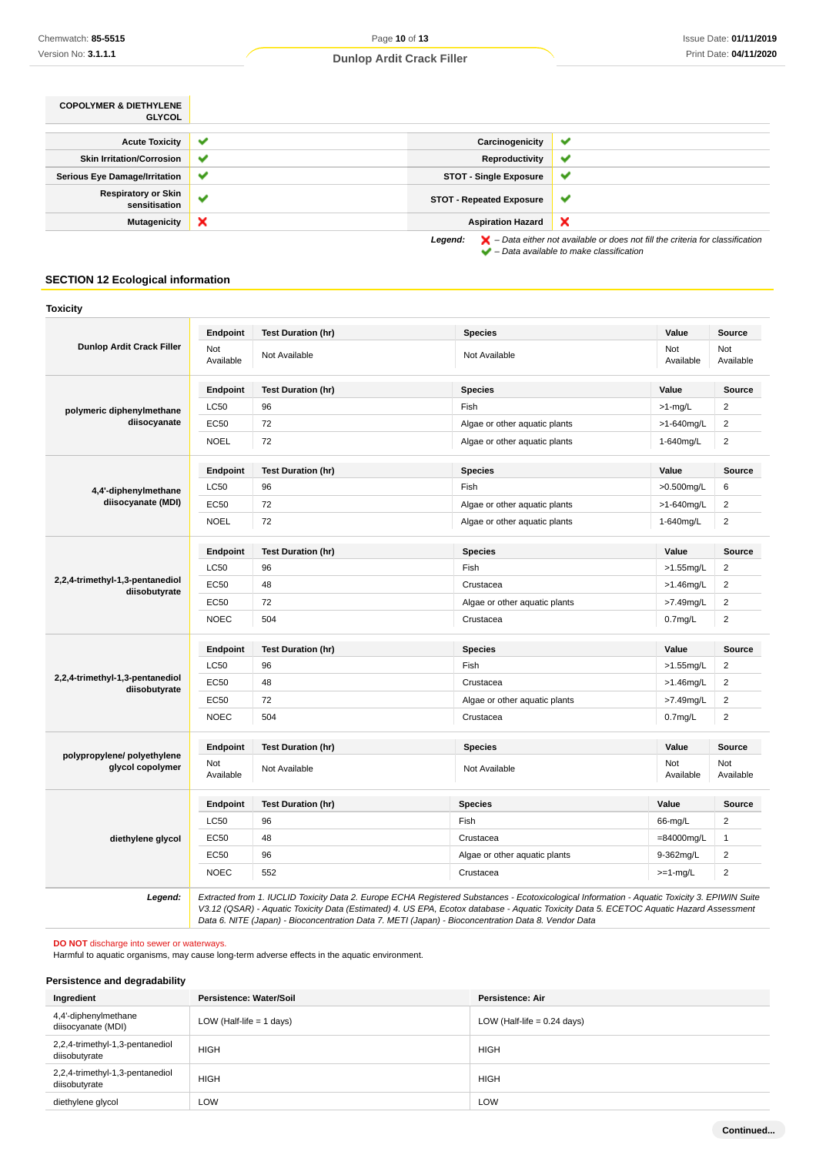| <b>COPOLYMER &amp; DIETHYLENE</b><br><b>GLYCOL</b> |              |                                 |              |
|----------------------------------------------------|--------------|---------------------------------|--------------|
|                                                    |              |                                 |              |
| <b>Acute Toxicity</b>                              | $\checkmark$ | Carcinogenicity                 | v            |
| <b>Skin Irritation/Corrosion</b>                   | ✔            | Reproductivity                  | ✔            |
| <b>Serious Eye Damage/Irritation</b>               | $\checkmark$ | <b>STOT - Single Exposure</b>   | $\checkmark$ |
| <b>Respiratory or Skin</b><br>sensitisation        | $\checkmark$ | <b>STOT - Repeated Exposure</b> | v            |
| <b>Mutagenicity</b>                                | ×            | <b>Aspiration Hazard</b>        | ×            |
|                                                    |              | .                               |              |

**Legend:**  $\mathbf{X}$  – Data either not available or does not fill the criteria for classification – Data available to make classification

### **SECTION 12 Ecological information**

| Not<br>Available<br>Endpoint<br><b>LC50</b><br>EC50<br><b>NOEL</b> | Not Available<br><b>Test Duration (hr)</b><br>96<br>72 | Not Available<br><b>Species</b><br>Fish                                                             | Not<br>Available<br>Value | Not<br>Available<br>Source                                                                                                                                                                                                                                                               |
|--------------------------------------------------------------------|--------------------------------------------------------|-----------------------------------------------------------------------------------------------------|---------------------------|------------------------------------------------------------------------------------------------------------------------------------------------------------------------------------------------------------------------------------------------------------------------------------------|
|                                                                    |                                                        |                                                                                                     |                           |                                                                                                                                                                                                                                                                                          |
|                                                                    |                                                        |                                                                                                     |                           |                                                                                                                                                                                                                                                                                          |
|                                                                    |                                                        |                                                                                                     | $>1$ -mg/L                | 2                                                                                                                                                                                                                                                                                        |
|                                                                    |                                                        | Algae or other aquatic plants                                                                       | >1-640mg/L                | $\overline{c}$                                                                                                                                                                                                                                                                           |
|                                                                    | 72                                                     | Algae or other aquatic plants                                                                       | 1-640mg/L                 | $\overline{2}$                                                                                                                                                                                                                                                                           |
| Endpoint                                                           | <b>Test Duration (hr)</b>                              | <b>Species</b>                                                                                      | Value                     | <b>Source</b>                                                                                                                                                                                                                                                                            |
| <b>LC50</b>                                                        | 96                                                     | Fish                                                                                                | >0.500mg/L                | 6                                                                                                                                                                                                                                                                                        |
| EC50                                                               | 72                                                     | Algae or other aquatic plants                                                                       | >1-640mg/L                | $\overline{2}$                                                                                                                                                                                                                                                                           |
| <b>NOEL</b>                                                        | 72                                                     | Algae or other aquatic plants                                                                       | 1-640mg/L                 | $\overline{2}$                                                                                                                                                                                                                                                                           |
| Endpoint                                                           | <b>Test Duration (hr)</b>                              | <b>Species</b>                                                                                      | Value                     | <b>Source</b>                                                                                                                                                                                                                                                                            |
| <b>LC50</b>                                                        | 96                                                     | Fish                                                                                                | $>1.55$ mg/L              | $\overline{2}$                                                                                                                                                                                                                                                                           |
| EC50                                                               | 48                                                     | Crustacea                                                                                           | >1.46mg/L                 | $\overline{c}$                                                                                                                                                                                                                                                                           |
| EC50                                                               | 72                                                     | Algae or other aquatic plants                                                                       | >7.49mg/L                 | $\overline{2}$                                                                                                                                                                                                                                                                           |
| <b>NOEC</b>                                                        | 504                                                    | Crustacea                                                                                           | 0.7 <sub>mg/L</sub>       | $\overline{2}$                                                                                                                                                                                                                                                                           |
| Endpoint                                                           | <b>Test Duration (hr)</b>                              | <b>Species</b>                                                                                      | Value                     | Source                                                                                                                                                                                                                                                                                   |
| <b>LC50</b>                                                        | 96                                                     | Fish                                                                                                | >1.55mg/L                 | $\overline{2}$                                                                                                                                                                                                                                                                           |
| EC50                                                               | 48                                                     | Crustacea                                                                                           | >1.46mg/L                 | $\overline{2}$                                                                                                                                                                                                                                                                           |
| EC50                                                               | 72                                                     | Algae or other aquatic plants                                                                       | >7.49mg/L                 | $\overline{2}$                                                                                                                                                                                                                                                                           |
| <b>NOEC</b>                                                        | 504                                                    | Crustacea                                                                                           | 0.7 <sub>mg/L</sub>       | $\overline{\mathbf{c}}$                                                                                                                                                                                                                                                                  |
| Endpoint                                                           | <b>Test Duration (hr)</b>                              | <b>Species</b>                                                                                      | Value                     | Source                                                                                                                                                                                                                                                                                   |
| Not<br>Available                                                   | Not Available                                          | Not Available                                                                                       | Not<br>Available          | Not<br>Available                                                                                                                                                                                                                                                                         |
| Endpoint                                                           | <b>Test Duration (hr)</b>                              | <b>Species</b>                                                                                      | Value                     | Source                                                                                                                                                                                                                                                                                   |
| LC50                                                               | 96                                                     | Fish                                                                                                | 66-mg/L                   | $\overline{2}$                                                                                                                                                                                                                                                                           |
| EC50                                                               | 48                                                     | Crustacea                                                                                           | $=84000$ mg/L             | $\mathbf{1}$                                                                                                                                                                                                                                                                             |
| <b>EC50</b>                                                        | 96                                                     | Algae or other aquatic plants                                                                       | 9-362mg/L                 | $\overline{2}$                                                                                                                                                                                                                                                                           |
| <b>NOEC</b>                                                        | 552                                                    | Crustacea                                                                                           | $>=1$ -mg/L               | $\overline{2}$                                                                                                                                                                                                                                                                           |
|                                                                    |                                                        | Data 6. NITE (Japan) - Bioconcentration Data 7. METI (Japan) - Bioconcentration Data 8. Vendor Data |                           | Extracted from 1. IUCLID Toxicity Data 2. Europe ECHA Registered Substances - Ecotoxicological Information - Aquatic Toxicity 3. EPIWIN Suite<br>V3.12 (QSAR) - Aquatic Toxicity Data (Estimated) 4. US EPA, Ecotox database - Aquatic Toxicity Data 5. ECETOC Aquatic Hazard Assessment |

**DO NOT** discharge into sewer or waterways.

Harmful to aquatic organisms, may cause long-term adverse effects in the aquatic environment.

### **Persistence and degradability**

| Ingredient                                       | Persistence: Water/Soil    | Persistence: Air              |
|--------------------------------------------------|----------------------------|-------------------------------|
| 4,4'-diphenylmethane<br>diisocyanate (MDI)       | LOW (Half-life $= 1$ days) | LOW (Half-life $= 0.24$ days) |
| 2,2,4-trimethyl-1,3-pentanediol<br>diisobutyrate | <b>HIGH</b>                | <b>HIGH</b>                   |
| 2,2,4-trimethyl-1,3-pentanediol<br>diisobutyrate | <b>HIGH</b>                | <b>HIGH</b>                   |
| diethylene glycol                                | LOW                        | LOW                           |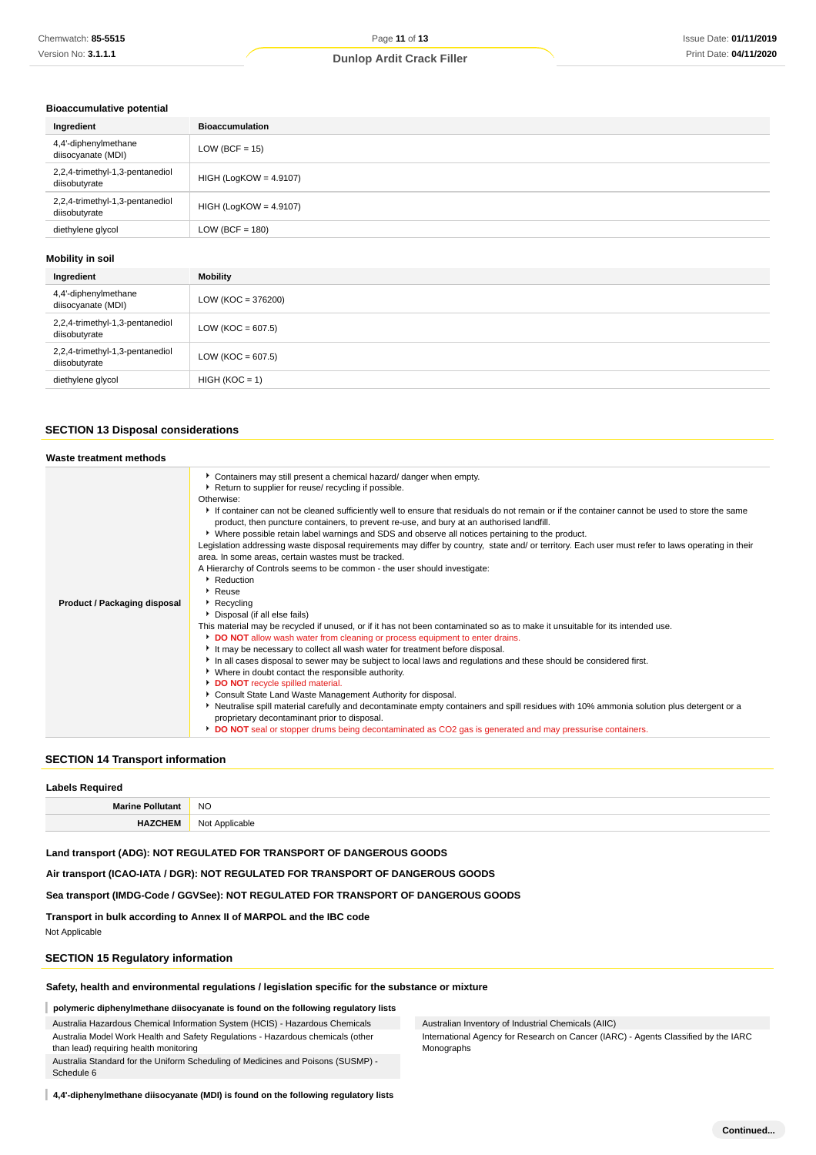#### **Bioaccumulative potential**

| Ingredient                                       | <b>Bioaccumulation</b>   |
|--------------------------------------------------|--------------------------|
| 4,4'-diphenylmethane<br>diisocyanate (MDI)       | $LOW (BCF = 15)$         |
| 2,2,4-trimethyl-1,3-pentanediol<br>diisobutyrate | $HIGH (LogKOW = 4.9107)$ |
| 2,2,4-trimethyl-1,3-pentanediol<br>diisobutyrate | $HIGH (LogKOW = 4.9107)$ |
| diethylene glycol                                | $LOW (BCF = 180)$        |
|                                                  |                          |

#### **Mobility in soil**

| Ingredient                                       | <b>Mobility</b>       |
|--------------------------------------------------|-----------------------|
| 4,4'-diphenylmethane<br>diisocyanate (MDI)       | $LOW (KOC = 376200)$  |
| 2,2,4-trimethyl-1,3-pentanediol<br>diisobutyrate | $LOW (KOC = 607.5)$   |
| 2,2,4-trimethyl-1,3-pentanediol<br>diisobutyrate | LOW ( $KOC = 607.5$ ) |
| diethylene glycol                                | $HIGH (KOC = 1)$      |

### **SECTION 13 Disposal considerations**

| Waste treatment methods      |                                                                                                                                                                                                                                                                                                                                                                                                                                                                                                                                                                                                                                                                                                                                                                                                                                                                                                                                                                                                                                                                                                                                                                                                                                                                                                                                                                                                                                                                                                                                                                                                                                                                                                                                                             |  |  |  |
|------------------------------|-------------------------------------------------------------------------------------------------------------------------------------------------------------------------------------------------------------------------------------------------------------------------------------------------------------------------------------------------------------------------------------------------------------------------------------------------------------------------------------------------------------------------------------------------------------------------------------------------------------------------------------------------------------------------------------------------------------------------------------------------------------------------------------------------------------------------------------------------------------------------------------------------------------------------------------------------------------------------------------------------------------------------------------------------------------------------------------------------------------------------------------------------------------------------------------------------------------------------------------------------------------------------------------------------------------------------------------------------------------------------------------------------------------------------------------------------------------------------------------------------------------------------------------------------------------------------------------------------------------------------------------------------------------------------------------------------------------------------------------------------------------|--|--|--|
| Product / Packaging disposal | Containers may still present a chemical hazard/ danger when empty.<br>▶ Return to supplier for reuse/ recycling if possible.<br>Otherwise:<br>If container can not be cleaned sufficiently well to ensure that residuals do not remain or if the container cannot be used to store the same<br>product, then puncture containers, to prevent re-use, and bury at an authorised landfill.<br>▶ Where possible retain label warnings and SDS and observe all notices pertaining to the product.<br>Legislation addressing waste disposal requirements may differ by country, state and/ or territory. Each user must refer to laws operating in their<br>area. In some areas, certain wastes must be tracked.<br>A Hierarchy of Controls seems to be common - the user should investigate:<br>Reduction<br>$\cdot$ Reuse<br>Recycling<br>Disposal (if all else fails)<br>This material may be recycled if unused, or if it has not been contaminated so as to make it unsuitable for its intended use.<br>DO NOT allow wash water from cleaning or process equipment to enter drains.<br>It may be necessary to collect all wash water for treatment before disposal.<br>In all cases disposal to sewer may be subject to local laws and regulations and these should be considered first.<br>• Where in doubt contact the responsible authority.<br>DO NOT recycle spilled material.<br>Consult State Land Waste Management Authority for disposal.<br>▶ Neutralise spill material carefully and decontaminate empty containers and spill residues with 10% ammonia solution plus detergent or a<br>proprietary decontaminant prior to disposal.<br>DO NOT seal or stopper drums being decontaminated as CO2 gas is generated and may pressurise containers. |  |  |  |

### **SECTION 14 Transport information**

#### **Labels Required**

| LUDGIS INGUUILGU         |                     |  |
|--------------------------|---------------------|--|
| Marine Po.<br>ıtanı      | <b>NO</b>           |  |
| <b>"CHEM</b><br>________ | Not Applicable<br>. |  |

**Land transport (ADG): NOT REGULATED FOR TRANSPORT OF DANGEROUS GOODS**

**Air transport (ICAO-IATA / DGR): NOT REGULATED FOR TRANSPORT OF DANGEROUS GOODS**

**Sea transport (IMDG-Code / GGVSee): NOT REGULATED FOR TRANSPORT OF DANGEROUS GOODS**

**Transport in bulk according to Annex II of MARPOL and the IBC code**

Not Applicable

Schedule 6

#### **SECTION 15 Regulatory information**

#### **Safety, health and environmental regulations / legislation specific for the substance or mixture**

**polymeric diphenylmethane diisocyanate is found on the following regulatory lists**

Australia Hazardous Chemical Information System (HCIS) - Hazardous Chemicals Australia Model Work Health and Safety Regulations - Hazardous chemicals (other

than lead) requiring health monitoring Australia Standard for the Uniform Scheduling of Medicines and Poisons (SUSMP) - Australian Inventory of Industrial Chemicals (AIIC)

International Agency for Research on Cancer (IARC) - Agents Classified by the IARC Monographs

**4,4'-diphenylmethane diisocyanate (MDI) is found on the following regulatory lists**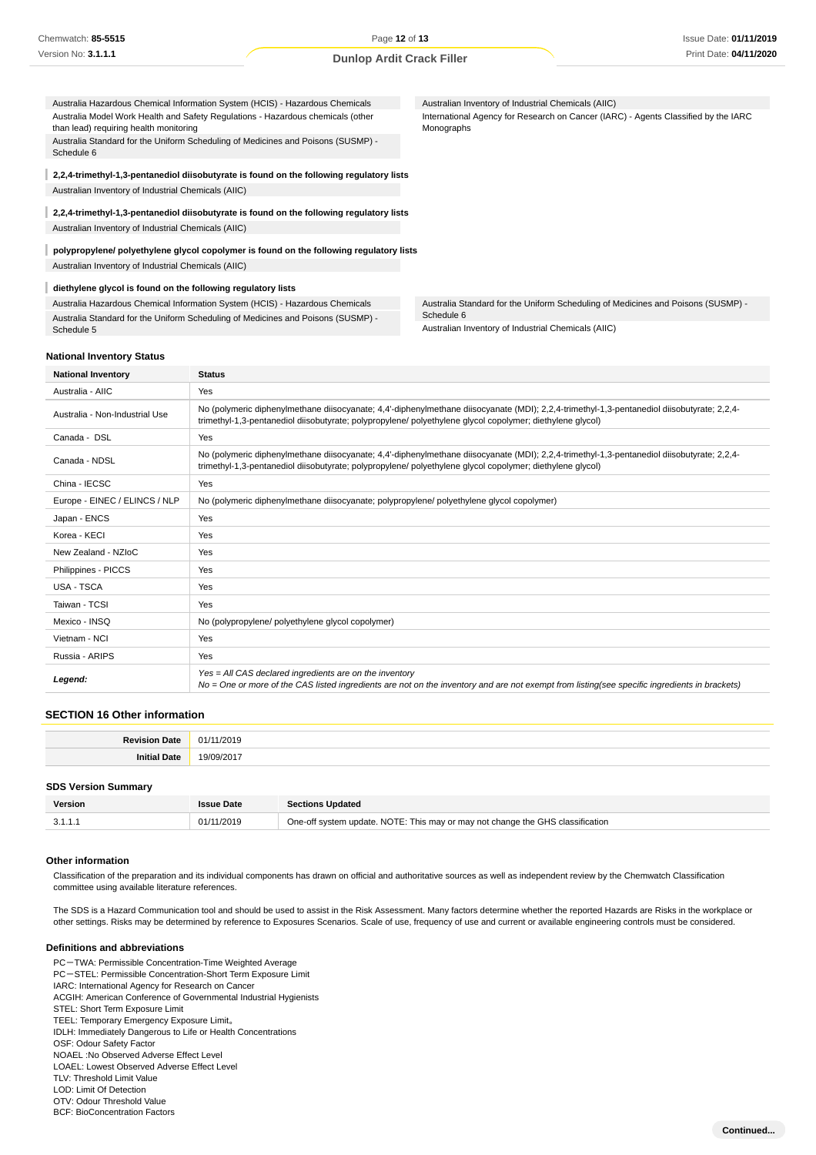Australia Hazardous Chemical Information System (HCIS) - Hazardous Chemicals Australian Inventory of Industrial Chemicals (AIIC) Australia Model Work Health and Safety Regulations - Hazardous chemicals (other International Agency for Research on Cancer (IARC) - Agents Classified by the IARC than lead) requiring health monitoring Monographs Australia Standard for the Uniform Scheduling of Medicines and Poisons (SUSMP) - Schedule 6 I **2,2,4-trimethyl-1,3-pentanediol diisobutyrate is found on the following regulatory lists** Australian Inventory of Industrial Chemicals (AIIC) **2,2,4-trimethyl-1,3-pentanediol diisobutyrate is found on the following regulatory lists** Australian Inventory of Industrial Chemicals (AIIC) **polypropylene/ polyethylene glycol copolymer is found on the following regulatory lists** Australian Inventory of Industrial Chemicals (AIIC) **diethylene glycol is found on the following regulatory lists** Australia Hazardous Chemical Information System (HCIS) - Hazardous Chemicals Australia Standard for the Uniform Scheduling of Medicines and Poisons (SUSMP) - Schedule 6 Australia Standard for the Uniform Scheduling of Medicines and Poisons (SUSMP) -

Australian Inventory of Industrial Chemicals (AIIC)

#### **National Inventory Status**

Schedule 5

| <b>National Inventory</b>      | <b>Status</b>                                                                                                                                                                                                                                           |  |
|--------------------------------|---------------------------------------------------------------------------------------------------------------------------------------------------------------------------------------------------------------------------------------------------------|--|
| Australia - AIIC               | Yes                                                                                                                                                                                                                                                     |  |
| Australia - Non-Industrial Use | No (polymeric diphenylmethane diisocyanate; 4,4'-diphenylmethane diisocyanate (MDI); 2,2,4-trimethyl-1,3-pentanediol diisobutyrate; 2,2,4-<br>trimethyl-1,3-pentanediol diisobutyrate; polypropylene/ polyethylene glycol copolymer; diethylene glycol) |  |
| Canada - DSL                   | Yes                                                                                                                                                                                                                                                     |  |
| Canada - NDSL                  | No (polymeric diphenylmethane diisocyanate; 4,4'-diphenylmethane diisocyanate (MDI); 2,2,4-trimethyl-1,3-pentanediol diisobutyrate; 2,2,4-<br>trimethyl-1,3-pentanediol diisobutyrate; polypropylene/ polyethylene glycol copolymer; diethylene glycol) |  |
| China - IECSC                  | Yes                                                                                                                                                                                                                                                     |  |
| Europe - EINEC / ELINCS / NLP  | No (polymeric diphenylmethane diisocyanate; polypropylene/ polyethylene glycol copolymer)                                                                                                                                                               |  |
| Japan - ENCS                   | Yes                                                                                                                                                                                                                                                     |  |
| Korea - KECI                   | Yes                                                                                                                                                                                                                                                     |  |
| New Zealand - NZIoC            | Yes                                                                                                                                                                                                                                                     |  |
| Philippines - PICCS            | Yes                                                                                                                                                                                                                                                     |  |
| USA - TSCA                     | Yes                                                                                                                                                                                                                                                     |  |
| Taiwan - TCSI                  | Yes                                                                                                                                                                                                                                                     |  |
| Mexico - INSQ                  | No (polypropylene/ polyethylene glycol copolymer)                                                                                                                                                                                                       |  |
| Vietnam - NCI                  | Yes                                                                                                                                                                                                                                                     |  |
| Russia - ARIPS                 | Yes                                                                                                                                                                                                                                                     |  |
| Legend:                        | $Yes = All CAS declared ingredients are on the inventory$<br>No = One or more of the CAS listed ingredients are not on the inventory and are not exempt from listing(see specific ingredients in brackets)                                              |  |

#### **SECTION 16 Other information**

| <b>Revision</b><br>Dote<br>- lau | 01<br>/2019 |
|----------------------------------|-------------|
| <br>. .                          | $\sim$      |
|                                  |             |

### **SDS Version Summary**

| Version | <b>Issue Date</b> | <b>Sections Updated</b>                                                        |  |  |  |  |
|---------|-------------------|--------------------------------------------------------------------------------|--|--|--|--|
| 3.1.1.7 | 01/11/2019        | One-off system update. NOTE: This may or may not change the GHS classification |  |  |  |  |
|         |                   |                                                                                |  |  |  |  |

#### **Other information**

Classification of the preparation and its individual components has drawn on official and authoritative sources as well as independent review by the Chemwatch Classification committee using available literature references.

The SDS is a Hazard Communication tool and should be used to assist in the Risk Assessment. Many factors determine whether the reported Hazards are Risks in the workplace or other settings. Risks may be determined by reference to Exposures Scenarios. Scale of use, frequency of use and current or available engineering controls must be considered.

#### **Definitions and abbreviations**

PC-TWA: Permissible Concentration-Time Weighted Average PC-STEL: Permissible Concentration-Short Term Exposure Limit IARC: International Agency for Research on Cancer ACGIH: American Conference of Governmental Industrial Hygienists STEL: Short Term Exposure Limit TEEL: Temporary Emergency Exposure Limit。 IDLH: Immediately Dangerous to Life or Health Concentrations OSF: Odour Safety Factor NOAEL :No Observed Adverse Effect Level LOAEL: Lowest Observed Adverse Effect Level TLV: Threshold Limit Value LOD: Limit Of Detection OTV: Odour Threshold Value

BCF: BioConcentration Factors